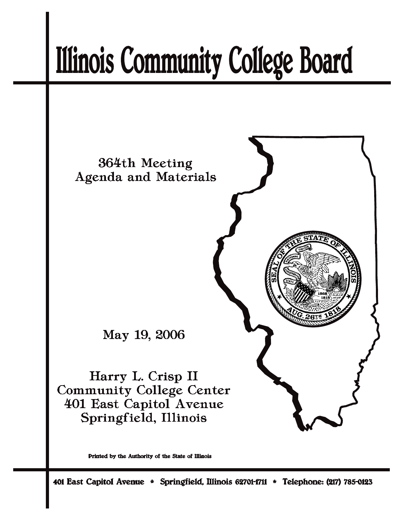# **Illinois Community College Board**



Printed by the Authority of the State of Illinois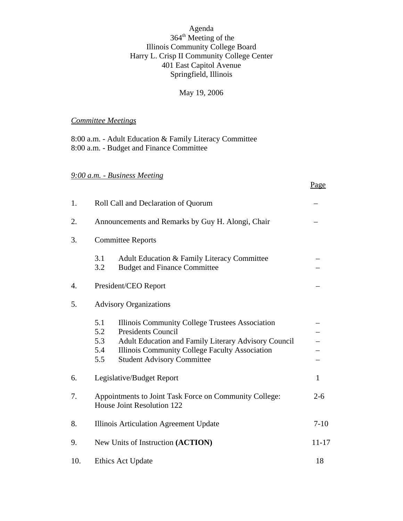#### Agenda 364<sup>th</sup> Meeting of the Illinois Community College Board Harry L. Crisp II Community College Center 401 East Capitol Avenue Springfield, Illinois

#### May 19, 2006

Page

# *Committee Meetings*

8:00 a.m. - Adult Education & Family Literacy Committee 8:00 a.m. - Budget and Finance Committee

# *9:00 a.m. - Business Meeting*

| 1.  | Roll Call and Declaration of Quorum                                                             |                                                                                                                                                                                                                                    |              |  |  |  |  |
|-----|-------------------------------------------------------------------------------------------------|------------------------------------------------------------------------------------------------------------------------------------------------------------------------------------------------------------------------------------|--------------|--|--|--|--|
| 2.  | Announcements and Remarks by Guy H. Alongi, Chair                                               |                                                                                                                                                                                                                                    |              |  |  |  |  |
| 3.  | <b>Committee Reports</b>                                                                        |                                                                                                                                                                                                                                    |              |  |  |  |  |
|     | 3.1<br>3.2                                                                                      | Adult Education & Family Literacy Committee<br><b>Budget and Finance Committee</b>                                                                                                                                                 |              |  |  |  |  |
| 4.  | President/CEO Report                                                                            |                                                                                                                                                                                                                                    |              |  |  |  |  |
| 5.  |                                                                                                 | <b>Advisory Organizations</b>                                                                                                                                                                                                      |              |  |  |  |  |
|     | 5.1<br>5.2<br>5.3<br>5.4<br>5.5                                                                 | Illinois Community College Trustees Association<br><b>Presidents Council</b><br><b>Adult Education and Family Literary Advisory Council</b><br>Illinois Community College Faculty Association<br><b>Student Advisory Committee</b> |              |  |  |  |  |
| 6.  |                                                                                                 | Legislative/Budget Report                                                                                                                                                                                                          | $\mathbf{1}$ |  |  |  |  |
| 7.  | Appointments to Joint Task Force on Community College:<br>$2 - 6$<br>House Joint Resolution 122 |                                                                                                                                                                                                                                    |              |  |  |  |  |
| 8.  | $7 - 10$<br>Illinois Articulation Agreement Update                                              |                                                                                                                                                                                                                                    |              |  |  |  |  |
| 9.  | New Units of Instruction (ACTION)<br>$11 - 17$                                                  |                                                                                                                                                                                                                                    |              |  |  |  |  |
| 10. | Ethics Act Update                                                                               |                                                                                                                                                                                                                                    |              |  |  |  |  |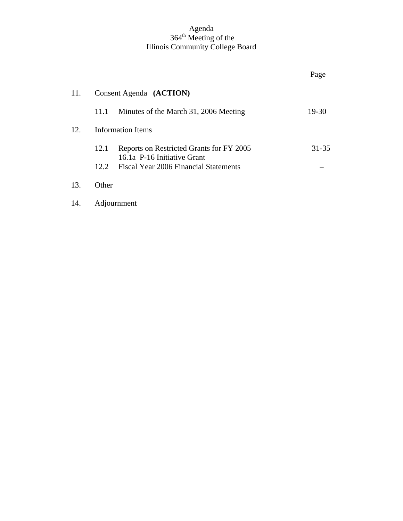#### Agenda 364<sup>th</sup> Meeting of the Illinois Community College Board

|     |       |                                                                      | rage      |
|-----|-------|----------------------------------------------------------------------|-----------|
| 11. |       | Consent Agenda (ACTION)                                              |           |
|     | 11.1  | Minutes of the March 31, 2006 Meeting                                | 19-30     |
| 12. |       | <b>Information Items</b>                                             |           |
|     | 12.1  | Reports on Restricted Grants for FY 2005                             | $31 - 35$ |
|     | 12.2  | 16.1a P-16 Initiative Grant<br>Fiscal Year 2006 Financial Statements |           |
| 13. | Other |                                                                      |           |
| 14. |       | Adjournment                                                          |           |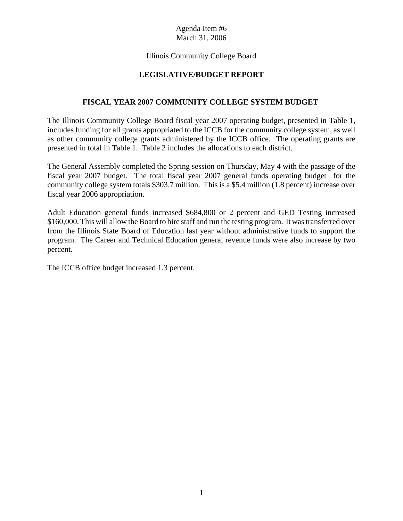# Agenda Item #6 March 31, 2006

#### Illinois Community College Board

# **LEGISLATIVE/BUDGET REPORT**

#### **FISCAL YEAR 2007 COMMUNITY COLLEGE SYSTEM BUDGET**

The Illinois Community College Board fiscal year 2007 operating budget, presented in Table 1, includes funding for all grants appropriated to the ICCB for the community college system, as well as other community college grants administered by the ICCB office. The operating grants are presented in total in Table 1. Table 2 includes the allocations to each district.

The General Assembly completed the Spring session on Thursday, May 4 with the passage of the fiscal year 2007 budget. The total fiscal year 2007 general funds operating budget for the community college system totals \$303.7 million. This is a \$5.4 million (1.8 percent) increase over fiscal year 2006 appropriation.

Adult Education general funds increased \$684,800 or 2 percent and GED Testing increased \$160,000. This will allow the Board to hire staff and run the testing program. It was transferred over from the Illinois State Board of Education last year without administrative funds to support the program. The Career and Technical Education general revenue funds were also increase by two percent.

The ICCB office budget increased 1.3 percent.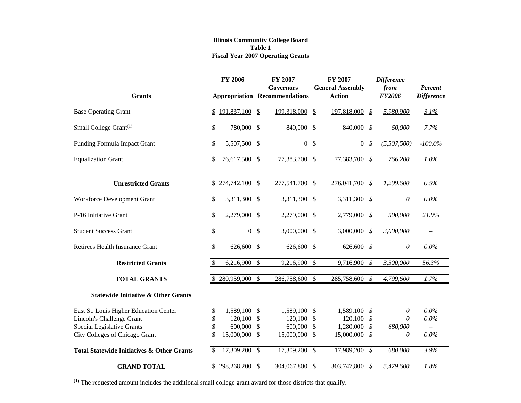#### **Illinois Community College Board Table 1 Fiscal Year 2007 Operating Grants**

| <b>Grants</b>                                         | <b>FY 2006</b>       |               | <b>FY 2007</b><br><b>Governors</b><br><b>Appropriation Recommendations</b> |                           | <b>FY 2007</b><br><b>General Assembly</b><br><b>Action</b> |               | <b>Difference</b><br>from<br>FY2006 | Percent<br><b>Difference</b> |
|-------------------------------------------------------|----------------------|---------------|----------------------------------------------------------------------------|---------------------------|------------------------------------------------------------|---------------|-------------------------------------|------------------------------|
| <b>Base Operating Grant</b>                           | \$191,837,100        | $\frac{1}{2}$ | 199,318,000                                                                | $\mathbf{\mathcal{F}}$    | 197,818,000                                                | \$            | 5,980,900                           | 3.1%                         |
| Small College Grant <sup>(1)</sup>                    | \$<br>780,000 \$     |               | 840,000 \$                                                                 |                           | 840,000 \$                                                 |               | 60,000                              | 7.7%                         |
| Funding Formula Impact Grant                          | \$<br>5,507,500 \$   |               | $\boldsymbol{0}$                                                           | \$                        | $\boldsymbol{0}$                                           | \$            | (5,507,500)                         | $-100.0\%$                   |
| <b>Equalization Grant</b>                             | \$<br>76,617,500 \$  |               | 77,383,700 \$                                                              |                           | 77,383,700                                                 | \$            | 766,200                             | 1.0%                         |
| <b>Unrestricted Grants</b>                            | 274,742,100 \$       |               | 277,541,700 \$                                                             |                           | 276,041,700                                                | $\mathcal{S}$ | 1,299,600                           | 0.5%                         |
| Workforce Development Grant                           | \$<br>3,311,300 \$   |               | 3,311,300 \$                                                               |                           | 3,311,300 \$                                               |               | $\theta$                            | $0.0\%$                      |
| P-16 Initiative Grant                                 | \$<br>2,279,000 \$   |               | 2,279,000 \$                                                               |                           | 2,779,000                                                  | \$            | 500,000                             | 21.9%                        |
| <b>Student Success Grant</b>                          | \$<br>$\overline{0}$ | $\mathcal{S}$ | 3,000,000 \$                                                               |                           | 3,000,000                                                  | \$            | 3,000,000                           | $=$                          |
| Retirees Health Insurance Grant                       | \$<br>626,600 \$     |               | 626,600 \$                                                                 |                           | 626,600 \$                                                 |               | $\theta$                            | $0.0\%$                      |
| <b>Restricted Grants</b>                              | \$<br>6,216,900      | $\mathcal{S}$ | 9,216,900                                                                  | $\boldsymbol{\mathsf{S}}$ | 9,716,900                                                  | \$            | 3,500,000                           | 56.3%                        |
| <b>TOTAL GRANTS</b>                                   | \$<br>280,959,000    | $\mathcal{S}$ | 286,758,600                                                                | $\mathcal{S}$             | 285,758,600                                                | \$            | 4,799,600                           | 1.7%                         |
| <b>Statewide Initiative &amp; Other Grants</b>        |                      |               |                                                                            |                           |                                                            |               |                                     |                              |
| East St. Louis Higher Education Center                | \$<br>1,589,100 \$   |               | 1,589,100                                                                  | <sup>\$</sup>             | 1,589,100 \$                                               |               | 0                                   | $0.0\%$                      |
| Lincoln's Challenge Grant                             | \$<br>120,100        | \$            | 120,100                                                                    | \$                        | 120,100                                                    | \$            | $\theta$                            | $0.0\%$                      |
| Special Legislative Grants                            | \$<br>600,000        | \$            | 600,000                                                                    | \$                        | 1,280,000                                                  | \$            | 680,000                             |                              |
| City Colleges of Chicago Grant                        | \$<br>15,000,000     | <sup>\$</sup> | 15,000,000                                                                 | $\mathbb{S}$              | 15,000,000                                                 | \$            | 0                                   | $0.0\%$                      |
| <b>Total Statewide Initiatives &amp; Other Grants</b> | \$<br>17,309,200     | $\mathcal{S}$ | 17,309,200                                                                 | $\boldsymbol{\mathsf{S}}$ | 17,989,200                                                 | $\mathcal S$  | 680,000                             | 3.9%                         |
| <b>GRAND TOTAL</b>                                    | \$298,268,200        | \$            | 304,067,800                                                                | \$                        | 303,747,800                                                | \$            | 5,479,600                           | 1.8%                         |

(1) The requested amount includes the additional small college grant award for those districts that qualify.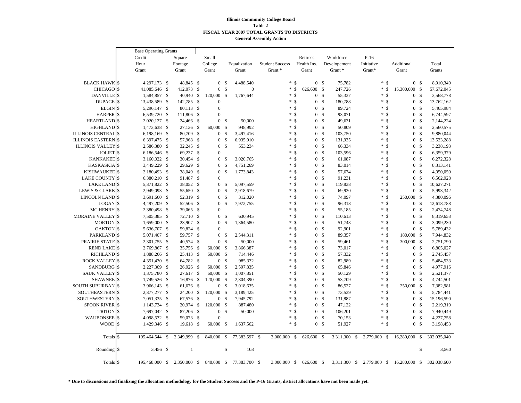#### **Illinois Community College Board Table 2 FISCAL YEAR 2007 TOTAL GRANTS TO DISTRICTS General Assembly Action**

|                            | <b>Base Operating Grants</b> |                |      |              |               |                  |               |               |  |                        |                    |                  |                |                  |              |                     |                                 |              |             |
|----------------------------|------------------------------|----------------|------|--------------|---------------|------------------|---------------|---------------|--|------------------------|--------------------|------------------|----------------|------------------|--------------|---------------------|---------------------------------|--------------|-------------|
|                            | Credit                       |                |      | Square       |               | Small            |               |               |  |                        |                    | Retirees         |                | Workforce        | $P-16$       |                     |                                 |              |             |
|                            | Hour                         |                |      | Footage      |               | College          |               | Equalization  |  | <b>Student Success</b> |                    | Health Ins.      |                | Developement     | Initiative   |                     | Additional                      |              | Total       |
|                            | Grant                        |                |      | Grant        |               | Grant            |               | Grant         |  | Grant*                 |                    | Grant            |                | Grant*           | Grant*       |                     | Grant                           |              | Grants      |
|                            |                              |                |      |              |               |                  |               |               |  |                        |                    |                  |                |                  |              |                     |                                 |              |             |
| <b>BLACK HAWK \$</b>       |                              | 4,297,173 \$   |      | 48,845 \$    |               | 0 <sup>5</sup>   |               | 4,488,540     |  |                        | $*$ \$             |                  | 0 <sup>5</sup> | 75,782           |              | $*$ \$              | 0 <sup>5</sup>                  |              | 8,910,340   |
| <b>CHICAGO</b>             | $\sqrt{3}$                   | 41,085,646 \$  |      | 412,073 \$   |               | $\overline{0}$   | $\mathbf{s}$  | $\mathbf{0}$  |  | *                      | \$                 | 626,600 \$       |                | 247,726          | $\ast$       | \$                  | 15,300,000<br>- \$              |              | 57,672,045  |
| DANVILLE <sup>S</sup>      |                              | 1,584,857 \$   |      | 40,940 \$    |               | 120,000          | -S            | 1,767,644     |  | *                      | <sup>\$</sup>      |                  | 0 <sup>5</sup> | 55,337           | *.           | <sup>\$</sup>       | 0 <sup>5</sup>                  |              | 3,568,778   |
| DUPAGE <sup>\$</sup>       |                              | 13,438,589 \$  |      | 142,785 \$   |               | $\boldsymbol{0}$ |               |               |  |                        | $*$ \$             | $\overline{0}$   | -\$            | 180,788          |              | * \$                | 0 <sup>5</sup>                  |              | 13,762,162  |
| <b>ELGIN</b>               | $\mathsf{\$}$                | 5,296,147 \$   |      | 80,113 \$    |               | $\boldsymbol{0}$ |               |               |  | $\ast$                 | $\mathcal{S}$      |                  | 0 <sup>5</sup> | 89,724           |              | $\mathcal{S}$<br>*. | 0 <sup>5</sup>                  |              | 5,465,984   |
| <b>HARPER</b>              | $\sqrt{3}$                   | 6,539,720 \$   |      | 111,806 \$   |               | $\overline{0}$   |               |               |  |                        | $*$ \$             | $\overline{0}$   | $\mathcal{S}$  | 93,071           |              | ÷.<br><sup>\$</sup> | $\mathcal{S}$<br>$\mathbf{0}$   |              | 6,744,597   |
| <b>HEARTLAND</b>           | $\sqrt{5}$                   | 2,020,127 \$   |      | 24,466 \$    |               | 0 <sup>5</sup>   |               | 50,000        |  |                        | $*$ \$             |                  | 0 <sup>5</sup> | 49,631           |              | <sup>\$</sup><br>*. | 0 <sup>5</sup>                  |              | 2,144,224   |
| <b>HIGHLAND</b>            | $\sqrt{3}$                   | 1,473,638 \$   |      | 27,136 \$    |               | 60,000           | -\$           | 948,992       |  |                        | $*$ \$             | $\overline{0}$   | $\mathcal{S}$  | 50,809           |              | $*$ \$              | $\mathbf{0}$<br>$\mathbb{S}$    |              | 2,560,575   |
| <b>ILLINOIS CENTRAL \$</b> |                              | 6,198,169 \$   |      | 80,709 \$    |               | 0 <sup>5</sup>   |               | 3,497,416     |  | *.                     | $\mathbf{\hat{s}}$ | $\overline{0}$   | $\mathcal{S}$  | 103,750          |              | $\mathcal{S}$<br>*. | 0 <sup>5</sup>                  |              | 9,880,044   |
| <b>ILLINOIS EASTERN</b>    | $\sqrt{3}$                   | 6,397,475 \$   |      | 57,968       | - \$          | 0 <sup>5</sup>   |               | 6,935,910     |  | ÷.                     | $\mathcal{S}$      | $\overline{0}$   | <sup>\$</sup>  | 131,935          |              | ÷.<br><sup>\$</sup> | $\mathcal{S}$<br>$\overline{0}$ |              | 13,523,288  |
| <b>ILLINOIS VALLEY</b> \$  |                              | 2,586,380 \$   |      | 32,245 \$    |               | 0 <sup>5</sup>   |               | 553,234       |  | *                      | $\mathcal{S}$      |                  | 0 <sup>5</sup> | 66,334           |              | <sup>\$</sup><br>*. | 0 <sup>5</sup>                  |              | 3,238,193   |
| JOLIET <sup>S</sup>        |                              | 6,186,546 \$   |      | 69,237       | <sup>\$</sup> | $\overline{0}$   |               |               |  |                        | $*$ \$             | $\overline{0}$   | $\mathcal{S}$  | 103,596          |              | ÷.<br><sup>\$</sup> | $\mathcal{S}$<br>$\mathbf{0}$   |              | 6,359,379   |
| <b>KANKAKEE</b> \$         |                              | 3,160,022 \$   |      | 30,454 \$    |               | 0 <sup>5</sup>   |               | 3,020,765     |  | *.                     | <sup>\$</sup>      | $\overline{0}$   | $\mathcal{S}$  | 61,087           |              | *.<br><sup>\$</sup> | 0 <sup>5</sup>                  |              | 6,272,328   |
| <b>KASKASKIA</b> \$        |                              | 3,449,229 \$   |      | 29,629 \$    |               | $\overline{0}$   | \$            | 4,751,269     |  | ÷.                     | $\mathcal{S}$      | $\overline{0}$   | $\mathcal{S}$  | 83,014           |              | ÷.<br>$\mathcal{S}$ | $\mathbf{0}$                    | $\mathbb{S}$ | 8,313,141   |
| KISHWAUKEE <sup>\$</sup>   |                              | 2,180,493 \$   |      | 38,049 \$    |               | $\overline{0}$   | - S           | 1,773,843     |  | *                      | $\mathcal{S}$      | $\overline{0}$   | <sup>\$</sup>  | 57,674           |              | <sup>\$</sup><br>*. | $\overline{0}$<br>$\mathcal{S}$ |              | 4,050,059   |
| <b>LAKE COUNTY \$</b>      |                              | 6,380,210 \$   |      | 91,487 \$    |               | $\overline{0}$   |               |               |  | *                      | <sup>\$</sup>      | $\overline{0}$   | $\mathcal{S}$  | 91,231           |              | $\mathcal{S}$<br>*. | $\mathbf{0}$                    | $\mathbb{S}$ | 6,562,928   |
| <b>LAKE LAND \$</b>        |                              | 5,371,822 \$   |      | 38,052 \$    |               | 0 <sup>5</sup>   |               | 5,097,559     |  | *                      | <sup>\$</sup>      | $\overline{0}$   | -\$            | 119,838          |              | <sup>\$</sup><br>*. | $\mathbf{0}$<br>$\mathcal{S}$   |              | 10,627,271  |
| LEWIS & CLARK \$           |                              | 2,949,093 \$   |      | 55,650 \$    |               | $\overline{0}$   | -\$           | 2,918,679     |  | *.                     | \$                 | $\overline{0}$   | $\mathcal{S}$  | 69,920           |              | * \$                | $\overline{0}$<br>\$            |              | 5,993,342   |
| LINCOLN LAND \$            |                              | 3,691,660 \$   |      | 52,319 \$    |               | 0 <sup>5</sup>   |               | 312,020       |  | *.                     | $\mathcal{S}$      |                  | 0 <sup>5</sup> | 74,097           |              | $*$ \$              | 250,000 \$                      |              | 4,380,096   |
| <b>LOGAN</b>               | $\sqrt{5}$                   | 4,497,209      | - \$ | 52,506 \$    |               | $\overline{0}$   | $\mathcal{S}$ | 7,972,755     |  |                        | $*$ \$             | $\overline{0}$   | $\mathcal{S}$  | 96,318           |              | $*$ \$              | $\mathcal{S}$<br>$\mathbf{0}$   |              | 12,618,788  |
| <b>MC HENRY</b>            | $\sqrt{5}$                   | 2,380,498 \$   |      | 39,065 \$    |               | $\boldsymbol{0}$ |               |               |  | *                      | <sup>\$</sup>      |                  | 0 <sup>5</sup> | 55,185           |              | <sup>\$</sup><br>*. | 0 <sup>5</sup>                  |              | 2,474,748   |
| <b>MORAINE VALLEY</b> \$   |                              | 7,505,385 \$   |      | 72,710 \$    |               | 0 <sup>5</sup>   |               | 630,945       |  | *                      | <sup>\$</sup>      | $\overline{0}$   | $\mathcal{S}$  | 110,613          |              | $\mathcal{S}$<br>*. | $\mathbf{0}$                    | $\mathbb{S}$ | 8,319,653   |
| <b>MORTON</b>              | $\sqrt{5}$                   | 1,659,000 \$   |      | 23,907 \$    |               | $\overline{0}$   | $\mathcal{S}$ | 1,364,580     |  |                        | $*$ \$             |                  | 0 <sup>5</sup> | 51,743           |              | \$<br>*.            | $\mathbb{S}$<br>$\overline{0}$  |              | 3,099,230   |
| <b>OAKTON</b>              | $\sqrt{3}$                   | 5,636,707 \$   |      | 59,824 \$    |               | $\overline{0}$   |               |               |  | ×.                     | <sup>\$</sup>      | $\overline{0}$   | <sup>\$</sup>  | 92,901           |              | $*$ \$              | 0 <sup>5</sup>                  |              | 5,789,432   |
| PARKLAND <sup>S</sup>      |                              | 5,071,407 \$   |      | 59,757 \$    |               | 0 <sup>5</sup>   |               | 2,544,311     |  | *                      | <sup>\$</sup>      |                  | 0 <sup>5</sup> | 89,357           |              | $*$ \$              | 180,000 \$                      |              | 7,944,832   |
| PRAIRIE STATE \$           |                              | 2,301,755 \$   |      | 40,574 \$    |               | 0 <sup>5</sup>   |               | 50,000        |  | *                      | <sup>\$</sup>      | $\overline{0}$   | $\mathcal{S}$  | 59,461           |              | $*$ \$              | 300,000 \$                      |              | 2,751,790   |
| <b>REND LAKE \$</b>        |                              | 2,769,867 \$   |      | 35,756 \$    |               | 60,000 \$        |               | 3,866,387     |  | *                      | <sup>\$</sup>      | $\overline{0}$   | -\$            | 73,017           |              | $*$ \$              | 0 <sup>5</sup>                  |              | 6,805,027   |
| <b>RICHLAND</b> \$         |                              | 1,888,266 \$   |      | 25,413 \$    |               | 60,000 \$        |               | 714,446       |  | *                      | <sup>\$</sup>      | $\boldsymbol{0}$ | $\mathcal{S}$  | 57,332           |              | *.<br><sup>\$</sup> | $\overline{0}$                  | \$           | 2,745,457   |
| <b>ROCK VALLEY</b> \$      |                              | 4,351,430 \$   |      | 64,782 \$    |               | 0 S              |               | 985,332       |  | *                      | $\mathcal{S}$      |                  | 0 <sup>5</sup> | 82,989           |              | <sup>\$</sup><br>*. | $\mathbb{S}$<br>$\mathbf{0}$    |              | 5,484,533   |
| <b>SANDBURG</b>            | $\sqrt{5}$                   | 2,227,309      | - \$ | 26,926 \$    |               | 60,000 \$        |               | 2,597,835     |  | *                      | <sup>\$</sup>      | $\overline{0}$   | $\mathcal{S}$  | 65,846           |              | ÷.<br><sup>\$</sup> | $\bf{0}$                        | $\mathbb{S}$ | 4,977,916   |
| <b>SAUK VALLEY \$</b>      |                              | 1,375,780 \$   |      | 27,617 \$    |               | 60,000 \$        |               | 1,007,851     |  | *                      | <sup>\$</sup>      |                  | 0 <sup>5</sup> | 50,129           |              | <sup>\$</sup><br>*. | $\mathcal{S}$<br>$\mathbf{0}$   |              | 2,521,377   |
| <b>SHAWNEE</b>             | $\sqrt{3}$                   | 1,749,526 \$   |      | 16,876 \$    |               | 120,000 \$       |               | 2,804,390     |  | *.                     | <sup>\$</sup>      | $\overline{0}$   | $\mathcal{S}$  | 53,709           |              | *.<br><sup>\$</sup> | $\mathbf{0}$<br>$\mathbb{S}$    |              | 4,744,501   |
| SOUTH SUBURBAN             | $\sqrt{3}$                   | 3,966,143 \$   |      | 61,676 \$    |               | 0 <sup>5</sup>   |               | 3,018,635     |  |                        | $*$ \$             |                  | 0 <sup>5</sup> | 86,527           |              | * \$                | 250,000 \$                      |              | 7,382,981   |
| SOUTHEASTERN               | $\mathsf{\$}$                | 2,377,277 \$   |      | 24,200       | \$            | 120,000 \$       |               | 3,189,425     |  | ×.                     | <sup>\$</sup>      | $\overline{0}$   | <sup>\$</sup>  | 73,539           |              | $*$ \$              | $\mathcal{S}$<br>$\overline{0}$ |              | 5,784,441   |
| <b>SOUTHWESTERN</b>        | $\sqrt{3}$                   | 7,051,335 \$   |      | 67,576 \$    |               | 0 <sup>5</sup>   |               | 7,945,792     |  | *                      | <sup>\$</sup>      |                  | 0 <sup>5</sup> | 131,887          |              | $*$ \$              | $\mathcal{S}$<br>$\overline{0}$ |              | 15,196,590  |
| <b>SPOON RIVER</b>         | $\sqrt{5}$                   | 1,143,734 \$   |      | 20,974 \$    |               | 120,000 \$       |               | 887,480       |  | *                      | <sup>\$</sup>      | $\overline{0}$   | $\mathcal{S}$  | 47,122           |              | $\mathcal{S}$<br>*. | $\mathbf{0}$                    | $\mathbb{S}$ | 2,219,310   |
| <b>TRITON</b>              | $\mathsf{\$}$                | 7,697,042 \$   |      | 87,206 \$    |               | 0 <sup>5</sup>   |               | 50,000        |  |                        | $*$ \$             |                  | 0 <sup>5</sup> | 106,201          |              | <sup>\$</sup><br>*. | 0 <sup>5</sup>                  |              | 7,940,449   |
| <b>WAUBONSEE</b>           | \$                           | 4,098,532 \$   |      | 59,073 \$    |               | $\boldsymbol{0}$ |               |               |  |                        | $*$ \$             | $\overline{0}$   | $\mathcal{S}$  | 70,153           |              | *.<br>\$            | $\bf{0}$                        | \$           | 4,227,758   |
| <b>WOOD</b>                | $\mathcal{S}$                | 1,429,346 \$   |      | 19,618 \$    |               | 60,000 \$        |               | 1,637,562     |  |                        | $*$ \$             |                  | 0 <sup>5</sup> | 51,927           |              | $*$ \$              | 0 <sup>5</sup>                  |              | 3,198,453   |
|                            |                              |                |      |              |               |                  |               |               |  |                        |                    |                  |                |                  |              |                     |                                 |              |             |
| Totals                     | \$                           | 195,464,544    | -\$  | 2,349,999    | \$            | 840,000          | \$            | 77,383,597 \$ |  | 3,000,000 \$           |                    | 626,600 \$       |                | 3,311,300<br>-\$ | 2,779,000    | $\mathbb S$         | 16,280,000                      | $\mathbb{S}$ | 302,035,040 |
| Rounding \\$               |                              | $3,456$ \$     |      | -1           |               |                  | \$            | 103           |  |                        |                    |                  |                |                  |              |                     |                                 | \$           | 3,560       |
| Totals <sup>§</sup>        |                              | 195,468,000 \$ |      | 2,350,000 \$ |               | 840,000 \$       |               | 77,383,700 \$ |  | 3,000,000 \$           |                    | 626,600 \$       |                | 3,311,300 \$     | 2,779,000 \$ |                     | 16,280,000 \$                   |              | 302,038,600 |

**\* Due to discussions and finalizing the allocation methodology for the Student Success and the P-16 Grants, district allocations have not been made yet.**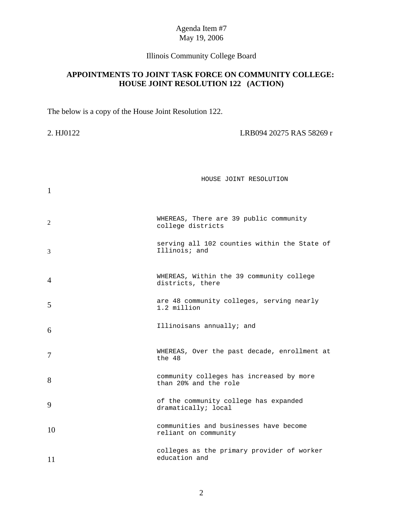# Illinois Community College Board

# **APPOINTMENTS TO JOINT TASK FORCE ON COMMUNITY COLLEGE: HOUSE JOINT RESOLUTION 122 (ACTION)**

The below is a copy of the House Joint Resolution 122.

2. HJ0122 LRB094 20275 RAS 58269 r

| $\mathbf{1}$   | HOUSE JOINT RESOLUTION                                            |
|----------------|-------------------------------------------------------------------|
| 2              | WHEREAS, There are 39 public community<br>college districts       |
| 3              | serving all 102 counties within the State of<br>Illinois; and     |
| $\overline{A}$ | WHEREAS, Within the 39 community college<br>districts, there      |
| 5              | are 48 community colleges, serving nearly<br>1.2 million          |
| 6              | Illinoisans annually; and                                         |
| 7              | WHEREAS, Over the past decade, enrollment at<br>the 48            |
| 8              | community colleges has increased by more<br>than 20% and the role |
| 9              | of the community college has expanded<br>dramatically; local      |
| 10             | communities and businesses have become<br>reliant on community    |
| 11             | colleges as the primary provider of worker<br>education and       |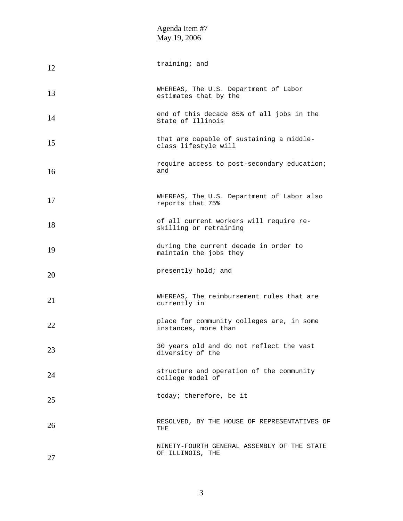| 12 | training; and                                                     |
|----|-------------------------------------------------------------------|
| 13 | WHEREAS, The U.S. Department of Labor<br>estimates that by the    |
| 14 | end of this decade 85% of all jobs in the<br>State of Illinois    |
| 15 | that are capable of sustaining a middle-<br>class lifestyle will  |
| 16 | require access to post-secondary education;<br>and                |
| 17 | WHEREAS, The U.S. Department of Labor also<br>reports that 75%    |
| 18 | of all current workers will require re-<br>skilling or retraining |
| 19 | during the current decade in order to<br>maintain the jobs they   |
| 20 | presently hold; and                                               |
| 21 | WHEREAS, The reimbursement rules that are<br>currently in         |
| 22 | place for community colleges are, in some<br>instances, more than |
| 23 | 30 years old and do not reflect the vast<br>diversity of the      |
| 24 | structure and operation of the community<br>college model of      |
| 25 | today; therefore, be it                                           |
| 26 | RESOLVED, BY THE HOUSE OF REPRESENTATIVES OF<br>THE               |
| 27 | NINETY-FOURTH GENERAL ASSEMBLY OF THE STATE<br>OF ILLINOIS, THE   |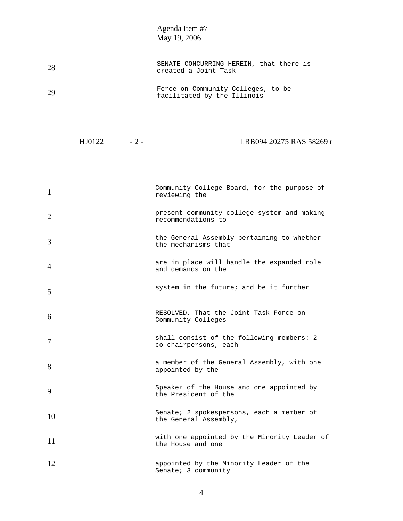| 28 | SENATE CONCURRING HEREIN, that there is<br>created a Joint Task   |
|----|-------------------------------------------------------------------|
| 29 | Force on Community Colleges, to be<br>facilitated by the Illinois |

| LRB094 20275 RAS 58269 r<br>HJ0122 |
|------------------------------------|
|------------------------------------|

| 1              | Community College Board, for the purpose of<br>reviewing the       |
|----------------|--------------------------------------------------------------------|
| $\overline{2}$ | present community college system and making<br>recommendations to  |
| 3              | the General Assembly pertaining to whether<br>the mechanisms that  |
| 4              | are in place will handle the expanded role<br>and demands on the   |
| 5              | system in the future; and be it further                            |
| 6              | RESOLVED, That the Joint Task Force on<br>Community Colleges       |
| 7              | shall consist of the following members: 2<br>co-chairpersons, each |
| 8              | a member of the General Assembly, with one<br>appointed by the     |
| 9              | Speaker of the House and one appointed by<br>the President of the  |
| 10             | Senate; 2 spokespersons, each a member of<br>the General Assembly, |
| 11             | with one appointed by the Minority Leader of<br>the House and one  |
| 12             | appointed by the Minority Leader of the<br>Senate; 3 community     |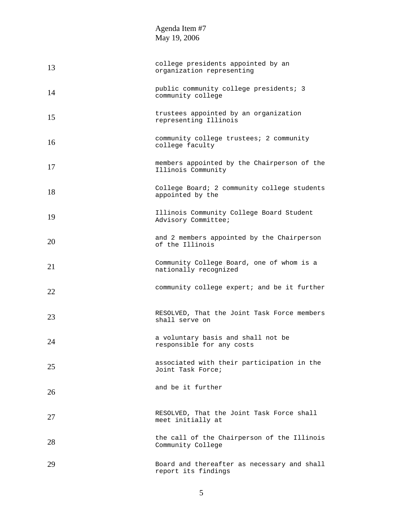| 13 | college presidents appointed by an<br>organization representing    |
|----|--------------------------------------------------------------------|
| 14 | public community college presidents; 3<br>community college        |
| 15 | trustees appointed by an organization<br>representing Illinois     |
| 16 | community college trustees; 2 community<br>college faculty         |
| 17 | members appointed by the Chairperson of the<br>Illinois Community  |
| 18 | College Board; 2 community college students<br>appointed by the    |
| 19 | Illinois Community College Board Student<br>Advisory Committee;    |
| 20 | and 2 members appointed by the Chairperson<br>of the Illinois      |
| 21 | Community College Board, one of whom is a<br>nationally recognized |
| 22 | community college expert; and be it further                        |
| 23 | RESOLVED, That the Joint Task Force members<br>shall serve on      |
| 24 | a voluntary basis and shall not be<br>responsible for any costs    |
| 25 | associated with their participation in the<br>Joint Task Force;    |
| 26 | and be it further                                                  |
| 27 | RESOLVED, That the Joint Task Force shall<br>meet initially at     |
| 28 | the call of the Chairperson of the Illinois<br>Community College   |
| 29 | Board and thereafter as necessary and shall<br>report its findings |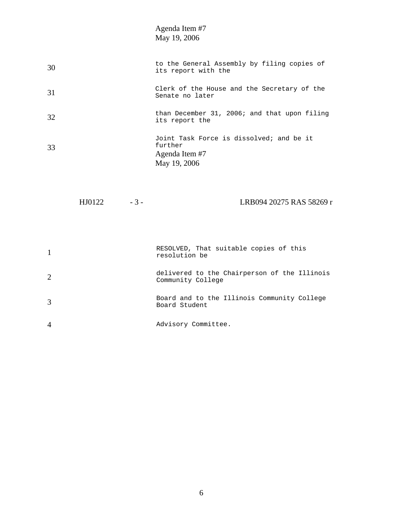| 30 | to the General Assembly by filing copies of<br>its report with the                    |
|----|---------------------------------------------------------------------------------------|
| 31 | Clerk of the House and the Secretary of the<br>Senate no later                        |
| 32 | than December 31, 2006; and that upon filing<br>its report the                        |
| 33 | Joint Task Force is dissolved; and be it<br>further<br>Agenda Item #7<br>May 19, 2006 |

HJ0122 - 3 - LRB094 20275 RAS 58269 r

|                             | RESOLVED, That suitable copies of this<br>resolution be           |
|-----------------------------|-------------------------------------------------------------------|
| $\mathcal{D}_{\mathcal{L}}$ | delivered to the Chairperson of the Illinois<br>Community College |
| 3                           | Board and to the Illinois Community College<br>Board Student      |
|                             | Advisory Committee.                                               |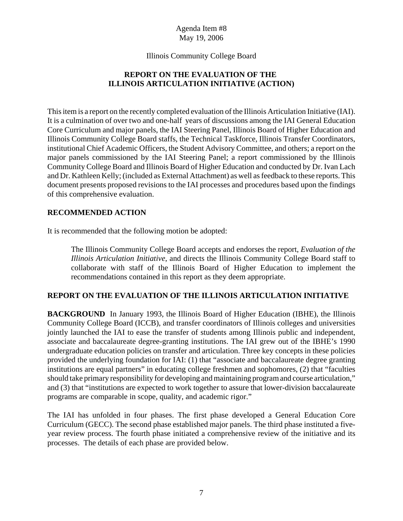#### Illinois Community College Board

# **REPORT ON THE EVALUATION OF THE ILLINOIS ARTICULATION INITIATIVE (ACTION)**

This item is a report on the recently completed evaluation of the Illinois Articulation Initiative (IAI). It is a culmination of over two and one-half years of discussions among the IAI General Education Core Curriculum and major panels, the IAI Steering Panel, Illinois Board of Higher Education and Illinois Community College Board staffs, the Technical Taskforce, Illinois Transfer Coordinators, institutional Chief Academic Officers, the Student Advisory Committee, and others; a report on the major panels commissioned by the IAI Steering Panel; a report commissioned by the Illinois Community College Board and Illinois Board of Higher Education and conducted by Dr. Ivan Lach and Dr. Kathleen Kelly; (included as External Attachment) as well as feedback to these reports. This document presents proposed revisions to the IAI processes and procedures based upon the findings of this comprehensive evaluation.

#### **RECOMMENDED ACTION**

It is recommended that the following motion be adopted:

The Illinois Community College Board accepts and endorses the report, *Evaluation of the Illinois Articulation Initiative*, and directs the Illinois Community College Board staff to collaborate with staff of the Illinois Board of Higher Education to implement the recommendations contained in this report as they deem appropriate.

#### **REPORT ON THE EVALUATION OF THE ILLINOIS ARTICULATION INITIATIVE**

**BACKGROUND** In January 1993, the Illinois Board of Higher Education (IBHE), the Illinois Community College Board (ICCB), and transfer coordinators of Illinois colleges and universities jointly launched the IAI to ease the transfer of students among Illinois public and independent, associate and baccalaureate degree-granting institutions. The IAI grew out of the IBHE's 1990 undergraduate education policies on transfer and articulation. Three key concepts in these policies provided the underlying foundation for IAI: (1) that "associate and baccalaureate degree granting institutions are equal partners" in educating college freshmen and sophomores, (2) that "faculties should take primary responsibility for developing and maintaining program and course articulation," and (3) that "institutions are expected to work together to assure that lower-division baccalaureate programs are comparable in scope, quality, and academic rigor."

The IAI has unfolded in four phases. The first phase developed a General Education Core Curriculum (GECC). The second phase established major panels. The third phase instituted a fiveyear review process. The fourth phase initiated a comprehensive review of the initiative and its processes. The details of each phase are provided below.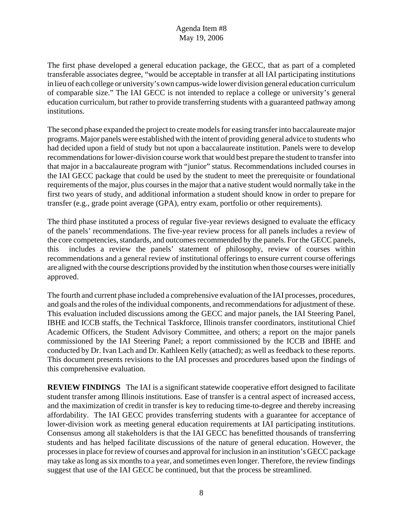The first phase developed a general education package, the GECC, that as part of a completed transferable associates degree, "would be acceptable in transfer at all IAI participating institutions in lieu of each college or university's own campus-wide lower division general education curriculum of comparable size." The IAI GECC is not intended to replace a college or university's general education curriculum, but rather to provide transferring students with a guaranteed pathway among institutions.

The second phase expanded the project to create models for easing transfer into baccalaureate major programs. Major panels were established with the intent of providing general advice to students who had decided upon a field of study but not upon a baccalaureate institution. Panels were to develop recommendations for lower-division course work that would best prepare the student to transfer into that major in a baccalaureate program with "junior" status. Recommendations included courses in the IAI GECC package that could be used by the student to meet the prerequisite or foundational requirements of the major, plus courses in the major that a native student would normally take in the first two years of study, and additional information a student should know in order to prepare for transfer (e.g., grade point average (GPA), entry exam, portfolio or other requirements).

The third phase instituted a process of regular five-year reviews designed to evaluate the efficacy of the panels' recommendations. The five-year review process for all panels includes a review of the core competencies, standards, and outcomes recommended by the panels. For the GECC panels, this includes a review the panels' statement of philosophy, review of courses within recommendations and a general review of institutional offerings to ensure current course offerings are aligned with the course descriptions provided by the institution when those courses were initially approved.

The fourth and current phase included a comprehensive evaluation of the IAI processes, procedures, and goals and the roles of the individual components, and recommendations for adjustment of these. This evaluation included discussions among the GECC and major panels, the IAI Steering Panel, IBHE and ICCB staffs, the Technical Taskforce, Illinois transfer coordinators, institutional Chief Academic Officers, the Student Advisory Committee, and others; a report on the major panels commissioned by the IAI Steering Panel; a report commissioned by the ICCB and IBHE and conducted by Dr. Ivan Lach and Dr. Kathleen Kelly (attached); as well as feedback to these reports. This document presents revisions to the IAI processes and procedures based upon the findings of this comprehensive evaluation.

**REVIEW FINDINGS** The IAI is a significant statewide cooperative effort designed to facilitate student transfer among Illinois institutions. Ease of transfer is a central aspect of increased access, and the maximization of credit in transfer is key to reducing time-to-degree and thereby increasing affordability. The IAI GECC provides transferring students with a guarantee for acceptance of lower-division work as meeting general education requirements at IAI participating institutions. Consensus among all stakeholders is that the IAI GECC has benefitted thousands of transferring students and has helped facilitate discussions of the nature of general education. However, the processes in place for review of courses and approval for inclusion in an institution's GECC package may take as long as six months to a year, and sometimes even longer. Therefore, the review findings suggest that use of the IAI GECC be continued, but that the process be streamlined.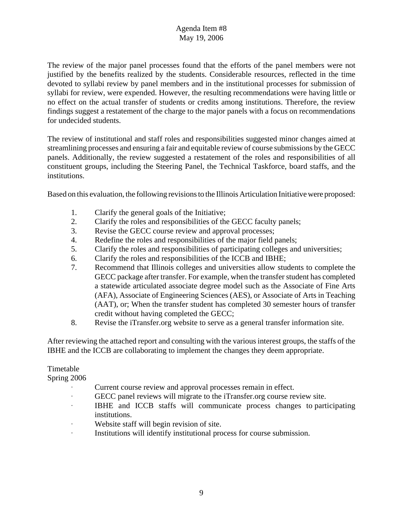The review of the major panel processes found that the efforts of the panel members were not justified by the benefits realized by the students. Considerable resources, reflected in the time devoted to syllabi review by panel members and in the institutional processes for submission of syllabi for review, were expended. However, the resulting recommendations were having little or no effect on the actual transfer of students or credits among institutions. Therefore, the review findings suggest a restatement of the charge to the major panels with a focus on recommendations for undecided students.

The review of institutional and staff roles and responsibilities suggested minor changes aimed at streamlining processes and ensuring a fair and equitable review of course submissions by the GECC panels. Additionally, the review suggested a restatement of the roles and responsibilities of all constituent groups, including the Steering Panel, the Technical Taskforce, board staffs, and the institutions.

Based on this evaluation, the following revisions to the Illinois Articulation Initiative were proposed:

- 1. Clarify the general goals of the Initiative;
- 2. Clarify the roles and responsibilities of the GECC faculty panels;
- 3. Revise the GECC course review and approval processes;
- 4. Redefine the roles and responsibilities of the major field panels;
- 5. Clarify the roles and responsibilities of participating colleges and universities;
- 6. Clarify the roles and responsibilities of the ICCB and IBHE;
- 7. Recommend that Illinois colleges and universities allow students to complete the GECC package after transfer. For example, when the transfer student has completed a statewide articulated associate degree model such as the Associate of Fine Arts (AFA), Associate of Engineering Sciences (AES), or Associate of Arts in Teaching (AAT), or; When the transfer student has completed 30 semester hours of transfer credit without having completed the GECC;
- 8. Revise the iTransfer.org website to serve as a general transfer information site.

After reviewing the attached report and consulting with the various interest groups, the staffs of the IBHE and the ICCB are collaborating to implement the changes they deem appropriate.

#### Timetable

Spring 2006

- Current course review and approval processes remain in effect.
- A GECC panel reviews will migrate to the iTransfer.org course review site.
- A IBHE and ICCB staffs will communicate process changes to participating institutions.
- Website staff will begin revision of site.
- Institutions will identify institutional process for course submission.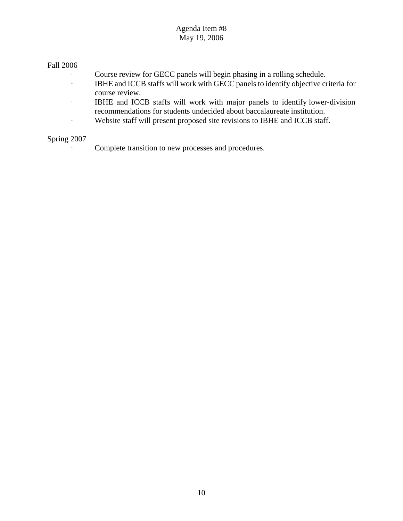#### Fall 2006

- Course review for GECC panels will begin phasing in a rolling schedule.<br>IBHE and ICCB staffs will work with GECC panels to identify objective cr
- IBHE and ICCB staffs will work with GECC panels to identify objective criteria for course review.
- **BHE and ICCB staffs will work with major panels to identify lower-division** recommendations for students undecided about baccalaureate institution.
- Website staff will present proposed site revisions to IBHE and ICCB staff.

#### Spring 2007

Complete transition to new processes and procedures.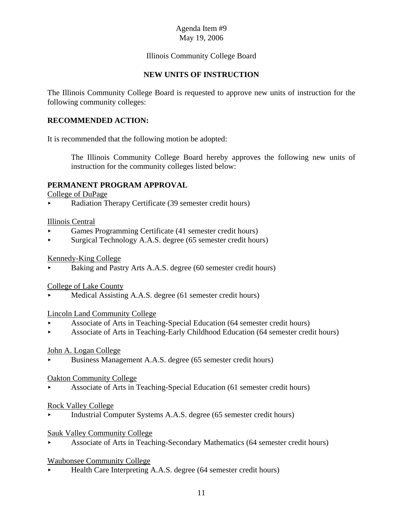# Illinois Community College Board

#### **NEW UNITS OF INSTRUCTION**

The Illinois Community College Board is requested to approve new units of instruction for the following community colleges:

#### **RECOMMENDED ACTION:**

It is recommended that the following motion be adopted:

The Illinois Community College Board hereby approves the following new units of instruction for the community colleges listed below:

#### **PERMANENT PROGRAM APPROVAL**

College of DuPage

< Radiation Therapy Certificate (39 semester credit hours)

#### Illinois Central

- < Games Programming Certificate (41 semester credit hours)
- < Surgical Technology A.A.S. degree (65 semester credit hours)

#### Kennedy-King College

< Baking and Pastry Arts A.A.S. degree (60 semester credit hours)

#### College of Lake County

Medical Assisting A.A.S. degree (61 semester credit hours)

#### Lincoln Land Community College

- < Associate of Arts in Teaching-Special Education (64 semester credit hours)
- < Associate of Arts in Teaching-Early Childhood Education (64 semester credit hours)

#### John A. Logan College

< Business Management A.A.S. degree (65 semester credit hours)

#### Oakton Community College

< Associate of Arts in Teaching-Special Education (61 semester credit hours)

#### Rock Valley College

< Industrial Computer Systems A.A.S. degree (65 semester credit hours)

#### Sauk Valley Community College

< Associate of Arts in Teaching-Secondary Mathematics (64 semester credit hours)

#### Waubonsee Community College

< Health Care Interpreting A.A.S. degree (64 semester credit hours)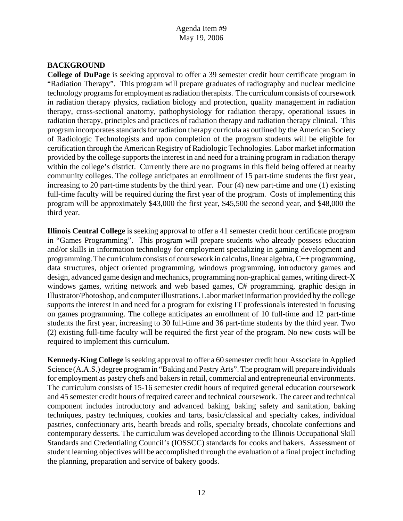# **BACKGROUND**

**College of DuPage** is seeking approval to offer a 39 semester credit hour certificate program in "Radiation Therapy". This program will prepare graduates of radiography and nuclear medicine technology programs for employment as radiation therapists. The curriculum consists of coursework in radiation therapy physics, radiation biology and protection, quality management in radiation therapy, cross-sectional anatomy, pathophysiology for radiation therapy, operational issues in radiation therapy, principles and practices of radiation therapy and radiation therapy clinical. This program incorporates standards for radiation therapy curricula as outlined by the American Society of Radiologic Technologists and upon completion of the program students will be eligible for certification through the American Registry of Radiologic Technologies. Labor market information provided by the college supports the interest in and need for a training program in radiation therapy within the college's district. Currently there are no programs in this field being offered at nearby community colleges. The college anticipates an enrollment of 15 part-time students the first year, increasing to 20 part-time students by the third year. Four (4) new part-time and one (1) existing full-time faculty will be required during the first year of the program. Costs of implementing this program will be approximately \$43,000 the first year, \$45,500 the second year, and \$48,000 the third year.

**Illinois Central College** is seeking approval to offer a 41 semester credit hour certificate program in "Games Programming". This program will prepare students who already possess education and/or skills in information technology for employment specializing in gaming development and programming. The curriculum consists of coursework in calculus, linear algebra, C++ programming, data structures, object oriented programming, windows programming, introductory games and design, advanced game design and mechanics, programming non-graphical games, writing direct-X windows games, writing network and web based games, C# programming, graphic design in Illustrator/Photoshop, and computer illustrations. Labor market information provided by the college supports the interest in and need for a program for existing IT professionals interested in focusing on games programming. The college anticipates an enrollment of 10 full-time and 12 part-time students the first year, increasing to 30 full-time and 36 part-time students by the third year. Two (2) existing full-time faculty will be required the first year of the program. No new costs will be required to implement this curriculum.

**Kennedy-King College** is seeking approval to offer a 60 semester credit hour Associate in Applied Science (A.A.S.) degree program in "Baking and Pastry Arts". The program will prepare individuals for employment as pastry chefs and bakers in retail, commercial and entrepreneurial environments. The curriculum consists of 15-16 semester credit hours of required general education coursework and 45 semester credit hours of required career and technical coursework. The career and technical component includes introductory and advanced baking, baking safety and sanitation, baking techniques, pastry techniques, cookies and tarts, basic/classical and specialty cakes, individual pastries, confectionary arts, hearth breads and rolls, specialty breads, chocolate confections and contemporary desserts. The curriculum was developed according to the Illinois Occupational Skill Standards and Credentialing Council's (IOSSCC) standards for cooks and bakers. Assessment of student learning objectives will be accomplished through the evaluation of a final project including the planning, preparation and service of bakery goods.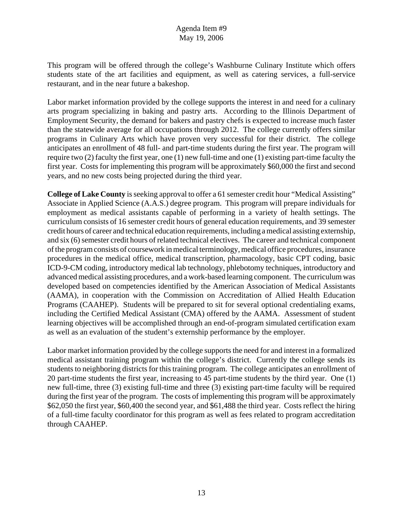This program will be offered through the college's Washburne Culinary Institute which offers students state of the art facilities and equipment, as well as catering services, a full-service restaurant, and in the near future a bakeshop.

Labor market information provided by the college supports the interest in and need for a culinary arts program specializing in baking and pastry arts. According to the Illinois Department of Employment Security, the demand for bakers and pastry chefs is expected to increase much faster than the statewide average for all occupations through 2012. The college currently offers similar programs in Culinary Arts which have proven very successful for their district. The college anticipates an enrollment of 48 full- and part-time students during the first year. The program will require two (2) faculty the first year, one (1) new full-time and one (1) existing part-time faculty the first year. Costs for implementing this program will be approximately \$60,000 the first and second years, and no new costs being projected during the third year.

**College of Lake County** is seeking approval to offer a 61 semester credit hour "Medical Assisting" Associate in Applied Science (A.A.S.) degree program. This program will prepare individuals for employment as medical assistants capable of performing in a variety of health settings. The curriculum consists of 16 semester credit hours of general education requirements, and 39 semester credit hours of career and technical education requirements, including a medical assisting externship, and six (6) semester credit hours of related technical electives. The career and technical component of the program consists of coursework in medical terminology, medical office procedures, insurance procedures in the medical office, medical transcription, pharmacology, basic CPT coding, basic ICD-9-CM coding, introductory medical lab technology, phlebotomy techniques, introductory and advanced medical assisting procedures, and a work-based learning component. The curriculum was developed based on competencies identified by the American Association of Medical Assistants (AAMA), in cooperation with the Commission on Accreditation of Allied Health Education Programs (CAAHEP). Students will be prepared to sit for several optional credentialing exams, including the Certified Medical Assistant (CMA) offered by the AAMA. Assessment of student learning objectives will be accomplished through an end-of-program simulated certification exam as well as an evaluation of the student's externship performance by the employer.

Labor market information provided by the college supports the need for and interest in a formalized medical assistant training program within the college's district. Currently the college sends its students to neighboring districts for this training program. The college anticipates an enrollment of 20 part-time students the first year, increasing to 45 part-time students by the third year. One (1) new full-time, three (3) existing full-time and three (3) existing part-time faculty will be required during the first year of the program. The costs of implementing this program will be approximately \$62,050 the first year, \$60,400 the second year, and \$61,488 the third year. Costs reflect the hiring of a full-time faculty coordinator for this program as well as fees related to program accreditation through CAAHEP.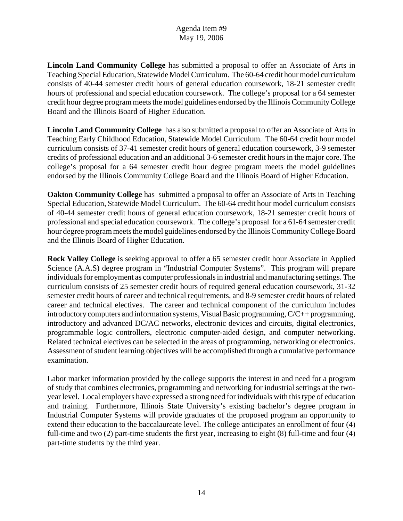**Lincoln Land Community College** has submitted a proposal to offer an Associate of Arts in Teaching Special Education, Statewide Model Curriculum. The 60-64 credit hour model curriculum consists of 40-44 semester credit hours of general education coursework, 18-21 semester credit hours of professional and special education coursework. The college's proposal for a 64 semester credit hour degree program meets the model guidelines endorsed by the Illinois Community College Board and the Illinois Board of Higher Education.

**Lincoln Land Community College** has also submitted a proposal to offer an Associate of Arts in Teaching Early Childhood Education, Statewide Model Curriculum. The 60-64 credit hour model curriculum consists of 37-41 semester credit hours of general education coursework, 3-9 semester credits of professional education and an additional 3-6 semester credit hours in the major core. The college's proposal for a 64 semester credit hour degree program meets the model guidelines endorsed by the Illinois Community College Board and the Illinois Board of Higher Education.

**Oakton Community College** has submitted a proposal to offer an Associate of Arts in Teaching Special Education, Statewide Model Curriculum. The 60-64 credit hour model curriculum consists of 40-44 semester credit hours of general education coursework, 18-21 semester credit hours of professional and special education coursework. The college's proposal for a 61-64 semester credit hour degree program meets the model guidelines endorsed by the Illinois Community College Board and the Illinois Board of Higher Education.

**Rock Valley College** is seeking approval to offer a 65 semester credit hour Associate in Applied Science (A.A.S) degree program in "Industrial Computer Systems". This program will prepare individuals for employment as computer professionals in industrial and manufacturing settings. The curriculum consists of 25 semester credit hours of required general education coursework, 31-32 semester credit hours of career and technical requirements, and 8-9 semester credit hours of related career and technical electives. The career and technical component of the curriculum includes introductory computers and information systems, Visual Basic programming, C/C++ programming, introductory and advanced DC/AC networks, electronic devices and circuits, digital electronics, programmable logic controllers, electronic computer-aided design, and computer networking. Related technical electives can be selected in the areas of programming, networking or electronics. Assessment of student learning objectives will be accomplished through a cumulative performance examination.

Labor market information provided by the college supports the interest in and need for a program of study that combines electronics, programming and networking for industrial settings at the twoyear level. Local employers have expressed a strong need for individuals with this type of education and training. Furthermore, Illinois State University's existing bachelor's degree program in Industrial Computer Systems will provide graduates of the proposed program an opportunity to extend their education to the baccalaureate level. The college anticipates an enrollment of four (4) full-time and two (2) part-time students the first year, increasing to eight (8) full-time and four (4) part-time students by the third year.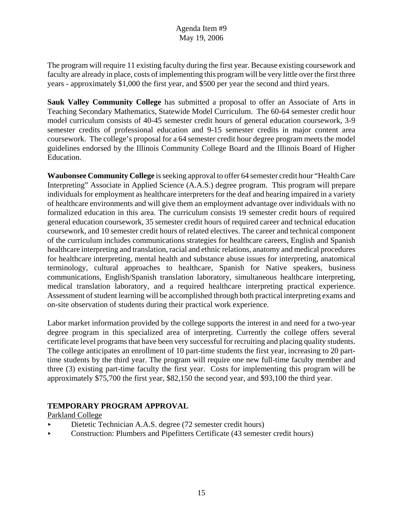The program will require 11 existing faculty during the first year. Because existing coursework and faculty are already in place, costs of implementing this program will be very little over the first three years - approximately \$1,000 the first year, and \$500 per year the second and third years.

**Sauk Valley Community College** has submitted a proposal to offer an Associate of Arts in Teaching Secondary Mathematics, Statewide Model Curriculum. The 60-64 semester credit hour model curriculum consists of 40-45 semester credit hours of general education coursework, 3-9 semester credits of professional education and 9-15 semester credits in major content area coursework. The college's proposal for a 64 semester credit hour degree program meets the model guidelines endorsed by the Illinois Community College Board and the Illinois Board of Higher Education.

**Waubonsee Community College** is seeking approval to offer 64 semester credit hour "Health Care Interpreting" Associate in Applied Science (A.A.S.) degree program. This program will prepare individuals for employment as healthcare interpreters for the deaf and hearing impaired in a variety of healthcare environments and will give them an employment advantage over individuals with no formalized education in this area. The curriculum consists 19 semester credit hours of required general education coursework, 35 semester credit hours of required career and technical education coursework, and 10 semester credit hours of related electives. The career and technical component of the curriculum includes communications strategies for healthcare careers, English and Spanish healthcare interpreting and translation, racial and ethnic relations, anatomy and medical procedures for healthcare interpreting, mental health and substance abuse issues for interpreting, anatomical terminology, cultural approaches to healthcare, Spanish for Native speakers, business communications, English/Spanish translation laboratory, simultaneous healthcare interpreting, medical translation laboratory, and a required healthcare interpreting practical experience. Assessment of student learning will be accomplished through both practical interpreting exams and on-site observation of students during their practical work experience.

Labor market information provided by the college supports the interest in and need for a two-year degree program in this specialized area of interpreting. Currently the college offers several certificate level programs that have been very successful for recruiting and placing quality students. The college anticipates an enrollment of 10 part-time students the first year, increasing to 20 parttime students by the third year. The program will require one new full-time faculty member and three (3) existing part-time faculty the first year. Costs for implementing this program will be approximately \$75,700 the first year, \$82,150 the second year, and \$93,100 the third year.

# **TEMPORARY PROGRAM APPROVAL**

Parkland College

- Dietetic Technician A.A.S. degree (72 semester credit hours)
- < Construction: Plumbers and Pipefitters Certificate (43 semester credit hours)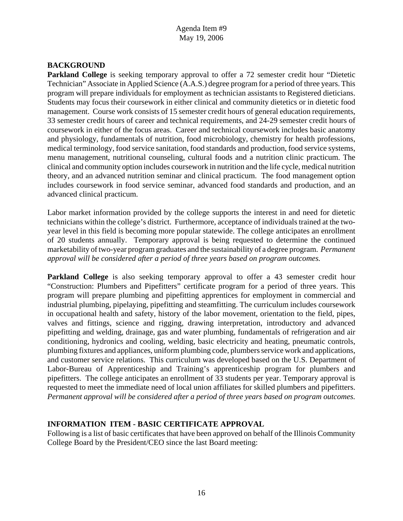# **BACKGROUND**

**Parkland College** is seeking temporary approval to offer a 72 semester credit hour "Dietetic Technician" Associate in Applied Science (A.A.S.) degree program for a period of three years. This program will prepare individuals for employment as technician assistants to Registered dieticians. Students may focus their coursework in either clinical and community dietetics or in dietetic food management. Course work consists of 15 semester credit hours of general education requirements, 33 semester credit hours of career and technical requirements, and 24-29 semester credit hours of coursework in either of the focus areas. Career and technical coursework includes basic anatomy and physiology, fundamentals of nutrition, food microbiology, chemistry for health professions, medical terminology, food service sanitation, food standards and production, food service systems, menu management, nutritional counseling, cultural foods and a nutrition clinic practicum. The clinical and community option includes coursework in nutrition and the life cycle, medical nutrition theory, and an advanced nutrition seminar and clinical practicum. The food management option includes coursework in food service seminar, advanced food standards and production, and an advanced clinical practicum.

Labor market information provided by the college supports the interest in and need for dietetic technicians within the college's district. Furthermore, acceptance of individuals trained at the twoyear level in this field is becoming more popular statewide. The college anticipates an enrollment of 20 students annually. Temporary approval is being requested to determine the continued marketability of two-year program graduates and the sustainability of a degree program. *Permanent approval will be considered after a period of three years based on program outcomes.* 

**Parkland College** is also seeking temporary approval to offer a 43 semester credit hour "Construction: Plumbers and Pipefitters" certificate program for a period of three years. This program will prepare plumbing and pipefitting apprentices for employment in commercial and industrial plumbing, pipelaying, pipefitting and steamfitting. The curriculum includes coursework in occupational health and safety, history of the labor movement, orientation to the field, pipes, valves and fittings, science and rigging, drawing interpretation, introductory and advanced pipefitting and welding, drainage, gas and water plumbing, fundamentals of refrigeration and air conditioning, hydronics and cooling, welding, basic electricity and heating, pneumatic controls, plumbing fixtures and appliances, uniform plumbing code, plumbers service work and applications, and customer service relations. This curriculum was developed based on the U.S. Department of Labor-Bureau of Apprenticeship and Training's apprenticeship program for plumbers and pipefitters. The college anticipates an enrollment of 33 students per year. Temporary approval is requested to meet the immediate need of local union affiliates for skilled plumbers and pipefitters. *Permanent approval will be considered after a period of three years based on program outcomes.*

#### **INFORMATION ITEM - BASIC CERTIFICATE APPROVAL**

Following is a list of basic certificates that have been approved on behalf of the Illinois Community College Board by the President/CEO since the last Board meeting: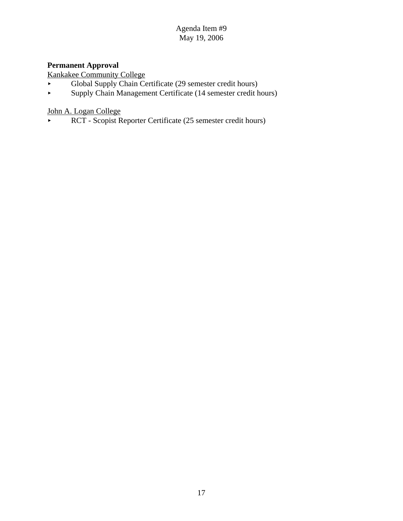# **Permanent Approval**

Kankakee Community College

- < Global Supply Chain Certificate (29 semester credit hours)
- < Supply Chain Management Certificate (14 semester credit hours)

John A. Logan College

RCT - Scopist Reporter Certificate (25 semester credit hours)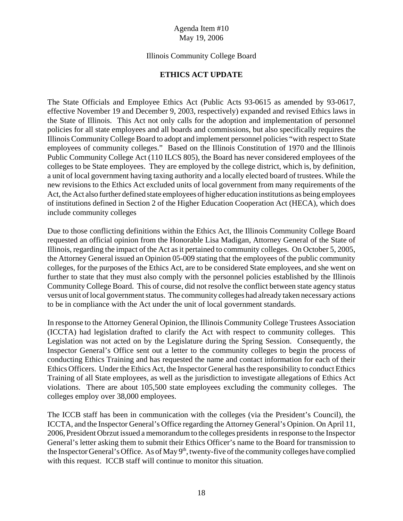#### Illinois Community College Board

#### **ETHICS ACT UPDATE**

The State Officials and Employee Ethics Act (Public Acts 93-0615 as amended by 93-0617, effective November 19 and December 9, 2003, respectively) expanded and revised Ethics laws in the State of Illinois. This Act not only calls for the adoption and implementation of personnel policies for all state employees and all boards and commissions, but also specifically requires the Illinois Community College Board to adopt and implement personnel policies "with respect to State employees of community colleges." Based on the Illinois Constitution of 1970 and the Illinois Public Community College Act (110 ILCS 805), the Board has never considered employees of the colleges to be State employees. They are employed by the college district, which is, by definition, a unit of local government having taxing authority and a locally elected board of trustees. While the new revisions to the Ethics Act excluded units of local government from many requirements of the Act, the Act also further defined state employees of higher education institutions as being employees of institutions defined in Section 2 of the Higher Education Cooperation Act (HECA), which does include community colleges

Due to those conflicting definitions within the Ethics Act, the Illinois Community College Board requested an official opinion from the Honorable Lisa Madigan, Attorney General of the State of Illinois, regarding the impact of the Act as it pertained to community colleges. On October 5, 2005, the Attorney General issued an Opinion 05-009 stating that the employees of the public community colleges, for the purposes of the Ethics Act, are to be considered State employees, and she went on further to state that they must also comply with the personnel policies established by the Illinois Community College Board. This of course, did not resolve the conflict between state agency status versus unit of local government status. The community colleges had already taken necessary actions to be in compliance with the Act under the unit of local government standards.

In response to the Attorney General Opinion, the Illinois Community College Trustees Association (ICCTA) had legislation drafted to clarify the Act with respect to community colleges. This Legislation was not acted on by the Legislature during the Spring Session. Consequently, the Inspector General's Office sent out a letter to the community colleges to begin the process of conducting Ethics Training and has requested the name and contact information for each of their Ethics Officers. Under the Ethics Act, the Inspector General has the responsibility to conduct Ethics Training of all State employees, as well as the jurisdiction to investigate allegations of Ethics Act violations. There are about 105,500 state employees excluding the community colleges. The colleges employ over 38,000 employees.

The ICCB staff has been in communication with the colleges (via the President's Council), the ICCTA, and the Inspector General's Office regarding the Attorney General's Opinion. On April 11, 2006, President Obrzut issued a memorandum to the colleges presidents in response to the Inspector General's letter asking them to submit their Ethics Officer's name to the Board for transmission to the Inspector General's Office. As of May 9<sup>th</sup>, twenty-five of the community colleges have complied with this request. ICCB staff will continue to monitor this situation.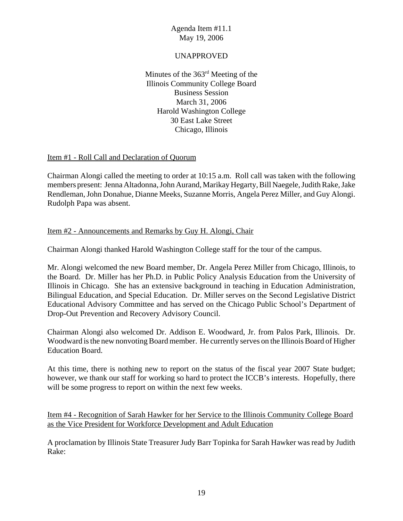#### UNAPPROVED

Minutes of the 363rd Meeting of the Illinois Community College Board Business Session March 31, 2006 Harold Washington College 30 East Lake Street Chicago, Illinois

#### Item #1 - Roll Call and Declaration of Quorum

Chairman Alongi called the meeting to order at 10:15 a.m. Roll call was taken with the following members present: Jenna Altadonna, John Aurand, Marikay Hegarty, Bill Naegele, Judith Rake, Jake Rendleman, John Donahue, Dianne Meeks, Suzanne Morris, Angela Perez Miller, and Guy Alongi. Rudolph Papa was absent.

#### Item #2 - Announcements and Remarks by Guy H. Alongi, Chair

Chairman Alongi thanked Harold Washington College staff for the tour of the campus.

Mr. Alongi welcomed the new Board member, Dr. Angela Perez Miller from Chicago, Illinois, to the Board. Dr. Miller has her Ph.D. in Public Policy Analysis Education from the University of Illinois in Chicago. She has an extensive background in teaching in Education Administration, Bilingual Education, and Special Education. Dr. Miller serves on the Second Legislative District Educational Advisory Committee and has served on the Chicago Public School's Department of Drop-Out Prevention and Recovery Advisory Council.

Chairman Alongi also welcomed Dr. Addison E. Woodward, Jr. from Palos Park, Illinois. Dr. Woodward is the new nonvoting Board member. He currently serves on the Illinois Board of Higher Education Board.

At this time, there is nothing new to report on the status of the fiscal year 2007 State budget; however, we thank our staff for working so hard to protect the ICCB's interests. Hopefully, there will be some progress to report on within the next few weeks.

Item #4 - Recognition of Sarah Hawker for her Service to the Illinois Community College Board as the Vice President for Workforce Development and Adult Education

A proclamation by Illinois State Treasurer Judy Barr Topinka for Sarah Hawker was read by Judith Rake: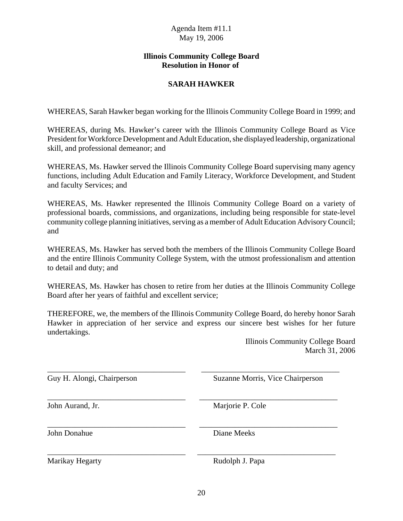#### **Illinois Community College Board Resolution in Honor of**

# **SARAH HAWKER**

WHEREAS, Sarah Hawker began working for the Illinois Community College Board in 1999; and

WHEREAS, during Ms. Hawker's career with the Illinois Community College Board as Vice President for Workforce Development and Adult Education, she displayed leadership, organizational skill, and professional demeanor; and

WHEREAS, Ms. Hawker served the Illinois Community College Board supervising many agency functions, including Adult Education and Family Literacy, Workforce Development, and Student and faculty Services; and

WHEREAS, Ms. Hawker represented the Illinois Community College Board on a variety of professional boards, commissions, and organizations, including being responsible for state-level community college planning initiatives, serving as a member of Adult Education Advisory Council; and

WHEREAS, Ms. Hawker has served both the members of the Illinois Community College Board and the entire Illinois Community College System, with the utmost professionalism and attention to detail and duty; and

WHEREAS, Ms. Hawker has chosen to retire from her duties at the Illinois Community College Board after her years of faithful and excellent service;

THEREFORE, we, the members of the Illinois Community College Board, do hereby honor Sarah Hawker in appreciation of her service and express our sincere best wishes for her future undertakings.

\_\_\_\_\_\_\_\_\_\_\_\_\_\_\_\_\_\_\_\_\_\_\_\_\_\_\_\_\_\_\_\_\_\_\_ \_\_\_\_\_\_\_\_\_\_\_\_\_\_\_\_\_\_\_\_\_\_\_\_\_\_\_\_\_\_\_\_\_\_\_

\_\_\_\_\_\_\_\_\_\_\_\_\_\_\_\_\_\_\_\_\_\_\_\_\_\_\_\_\_\_\_\_\_\_\_ \_\_\_\_\_\_\_\_\_\_\_\_\_\_\_\_\_\_\_\_\_\_\_\_\_\_\_\_\_\_\_\_\_\_\_

\_\_\_\_\_\_\_\_\_\_\_\_\_\_\_\_\_\_\_\_\_\_\_\_\_\_\_\_\_\_\_\_\_\_\_ \_\_\_\_\_\_\_\_\_\_\_\_\_\_\_\_\_\_\_\_\_\_\_\_\_\_\_\_\_\_\_\_\_\_\_

\_\_\_\_\_\_\_\_\_\_\_\_\_\_\_\_\_\_\_\_\_\_\_\_\_\_\_\_\_\_\_\_\_\_\_ \_\_\_\_\_\_\_\_\_\_\_\_\_\_\_\_\_\_\_\_\_\_\_\_\_\_\_\_\_\_\_\_\_\_\_

Illinois Community College Board March 31, 2006

Guy H. Alongi, Chairperson Suzanne Morris, Vice Chairperson

John Aurand, Jr. Marjorie P. Cole

John Donahue Diane Meeks

Marikay Hegarty **Rudolph J. Papa**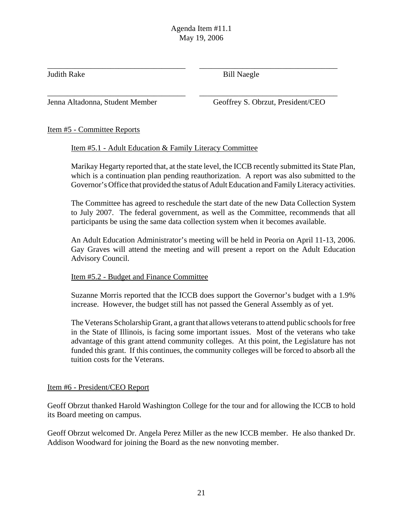\_\_\_\_\_\_\_\_\_\_\_\_\_\_\_\_\_\_\_\_\_\_\_\_\_\_\_\_\_\_\_\_\_\_\_ \_\_\_\_\_\_\_\_\_\_\_\_\_\_\_\_\_\_\_\_\_\_\_\_\_\_\_\_\_\_\_\_\_\_\_

Judith Rake Bill Naegle

\_\_\_\_\_\_\_\_\_\_\_\_\_\_\_\_\_\_\_\_\_\_\_\_\_\_\_\_\_\_\_\_\_\_\_ \_\_\_\_\_\_\_\_\_\_\_\_\_\_\_\_\_\_\_\_\_\_\_\_\_\_\_\_\_\_\_\_\_\_\_

Jenna Altadonna, Student Member Geoffrey S. Obrzut, President/CEO

# Item #5 - Committee Reports

#### Item #5.1 - Adult Education & Family Literacy Committee

Marikay Hegarty reported that, at the state level, the ICCB recently submitted its State Plan, which is a continuation plan pending reauthorization. A report was also submitted to the Governor's Office that provided the status of Adult Education and Family Literacy activities.

The Committee has agreed to reschedule the start date of the new Data Collection System to July 2007. The federal government, as well as the Committee, recommends that all participants be using the same data collection system when it becomes available.

An Adult Education Administrator's meeting will be held in Peoria on April 11-13, 2006. Gay Graves will attend the meeting and will present a report on the Adult Education Advisory Council.

#### Item #5.2 - Budget and Finance Committee

Suzanne Morris reported that the ICCB does support the Governor's budget with a 1.9% increase. However, the budget still has not passed the General Assembly as of yet.

The Veterans Scholarship Grant, a grant that allows veterans to attend public schools for free in the State of Illinois, is facing some important issues. Most of the veterans who take advantage of this grant attend community colleges. At this point, the Legislature has not funded this grant. If this continues, the community colleges will be forced to absorb all the tuition costs for the Veterans.

#### Item #6 - President/CEO Report

Geoff Obrzut thanked Harold Washington College for the tour and for allowing the ICCB to hold its Board meeting on campus.

Geoff Obrzut welcomed Dr. Angela Perez Miller as the new ICCB member. He also thanked Dr. Addison Woodward for joining the Board as the new nonvoting member.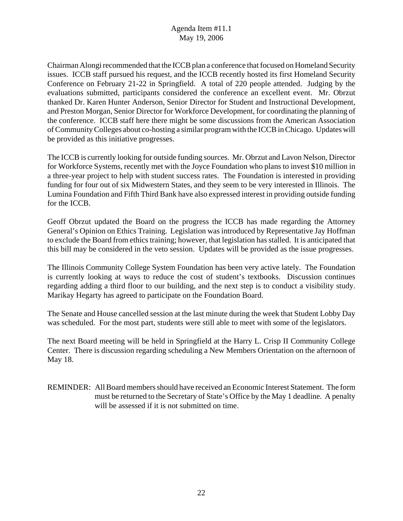Chairman Alongi recommended that the ICCB plan a conference that focused on Homeland Security issues. ICCB staff pursued his request, and the ICCB recently hosted its first Homeland Security Conference on February 21-22 in Springfield. A total of 220 people attended. Judging by the evaluations submitted, participants considered the conference an excellent event. Mr. Obrzut thanked Dr. Karen Hunter Anderson, Senior Director for Student and Instructional Development, and Preston Morgan, Senior Director for Workforce Development, for coordinating the planning of the conference. ICCB staff here there might be some discussions from the American Association of Community Colleges about co-hosting a similar program with the ICCB in Chicago. Updates will be provided as this initiative progresses.

The ICCB is currently looking for outside funding sources. Mr. Obrzut and Lavon Nelson, Director for Workforce Systems, recently met with the Joyce Foundation who plans to invest \$10 million in a three-year project to help with student success rates. The Foundation is interested in providing funding for four out of six Midwestern States, and they seem to be very interested in Illinois. The Lumina Foundation and Fifth Third Bank have also expressed interest in providing outside funding for the ICCB.

Geoff Obrzut updated the Board on the progress the ICCB has made regarding the Attorney General's Opinion on Ethics Training. Legislation was introduced by Representative Jay Hoffman to exclude the Board from ethics training; however, that legislation has stalled. It is anticipated that this bill may be considered in the veto session. Updates will be provided as the issue progresses.

The Illinois Community College System Foundation has been very active lately. The Foundation is currently looking at ways to reduce the cost of student's textbooks. Discussion continues regarding adding a third floor to our building, and the next step is to conduct a visibility study. Marikay Hegarty has agreed to participate on the Foundation Board.

The Senate and House cancelled session at the last minute during the week that Student Lobby Day was scheduled. For the most part, students were still able to meet with some of the legislators.

The next Board meeting will be held in Springfield at the Harry L. Crisp II Community College Center. There is discussion regarding scheduling a New Members Orientation on the afternoon of May 18.

REMINDER: All Board members should have received an Economic Interest Statement. The form must be returned to the Secretary of State's Office by the May 1 deadline. A penalty will be assessed if it is not submitted on time.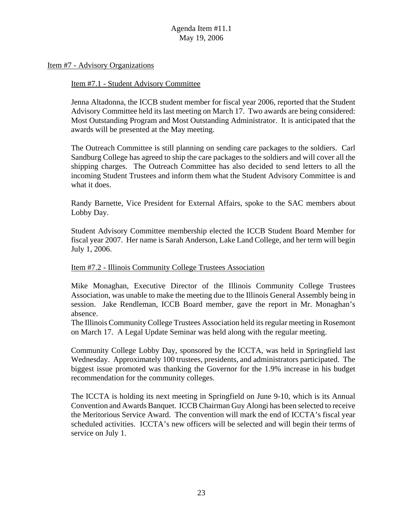Item #7 - Advisory Organizations

Item #7.1 - Student Advisory Committee

Jenna Altadonna, the ICCB student member for fiscal year 2006, reported that the Student Advisory Committee held its last meeting on March 17. Two awards are being considered: Most Outstanding Program and Most Outstanding Administrator. It is anticipated that the awards will be presented at the May meeting.

The Outreach Committee is still planning on sending care packages to the soldiers. Carl Sandburg College has agreed to ship the care packages to the soldiers and will cover all the shipping charges. The Outreach Committee has also decided to send letters to all the incoming Student Trustees and inform them what the Student Advisory Committee is and what it does.

Randy Barnette, Vice President for External Affairs, spoke to the SAC members about Lobby Day.

Student Advisory Committee membership elected the ICCB Student Board Member for fiscal year 2007. Her name is Sarah Anderson, Lake Land College, and her term will begin July 1, 2006.

#### Item #7.2 - Illinois Community College Trustees Association

Mike Monaghan, Executive Director of the Illinois Community College Trustees Association, was unable to make the meeting due to the Illinois General Assembly being in session. Jake Rendleman, ICCB Board member, gave the report in Mr. Monaghan's absence.

The Illinois Community College Trustees Association held its regular meeting in Rosemont on March 17. A Legal Update Seminar was held along with the regular meeting.

Community College Lobby Day, sponsored by the ICCTA, was held in Springfield last Wednesday. Approximately 100 trustees, presidents, and administrators participated. The biggest issue promoted was thanking the Governor for the 1.9% increase in his budget recommendation for the community colleges.

The ICCTA is holding its next meeting in Springfield on June 9-10, which is its Annual Convention and Awards Banquet. ICCB Chairman Guy Alongi has been selected to receive the Meritorious Service Award. The convention will mark the end of ICCTA's fiscal year scheduled activities. ICCTA's new officers will be selected and will begin their terms of service on July 1.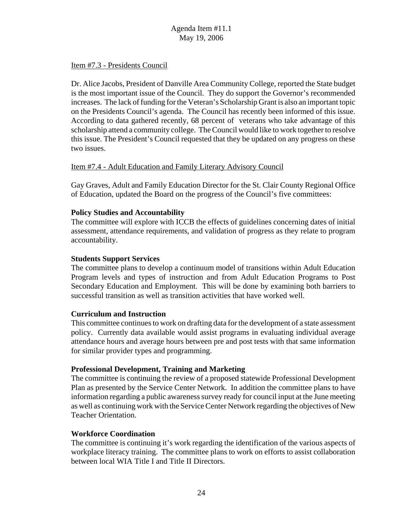#### Item #7.3 - Presidents Council

Dr. Alice Jacobs, President of Danville Area Community College, reported the State budget is the most important issue of the Council. They do support the Governor's recommended increases. The lack of funding for the Veteran's Scholarship Grant is also an important topic on the Presidents Council's agenda. The Council has recently been informed of this issue. According to data gathered recently, 68 percent of veterans who take advantage of this scholarship attend a community college. The Council would like to work together to resolve this issue. The President's Council requested that they be updated on any progress on these two issues.

#### Item #7.4 - Adult Education and Family Literary Advisory Council

Gay Graves, Adult and Family Education Director for the St. Clair County Regional Office of Education, updated the Board on the progress of the Council's five committees:

#### **Policy Studies and Accountability**

The committee will explore with ICCB the effects of guidelines concerning dates of initial assessment, attendance requirements, and validation of progress as they relate to program accountability.

#### **Students Support Services**

The committee plans to develop a continuum model of transitions within Adult Education Program levels and types of instruction and from Adult Education Programs to Post Secondary Education and Employment. This will be done by examining both barriers to successful transition as well as transition activities that have worked well.

#### **Curriculum and Instruction**

This committee continues to work on drafting data for the development of a state assessment policy. Currently data available would assist programs in evaluating individual average attendance hours and average hours between pre and post tests with that same information for similar provider types and programming.

#### **Professional Development, Training and Marketing**

The committee is continuing the review of a proposed statewide Professional Development Plan as presented by the Service Center Network. In addition the committee plans to have information regarding a public awareness survey ready for council input at the June meeting as well as continuing work with the Service Center Network regarding the objectives of New Teacher Orientation.

#### **Workforce Coordination**

The committee is continuing it's work regarding the identification of the various aspects of workplace literacy training. The committee plans to work on efforts to assist collaboration between local WIA Title I and Title II Directors.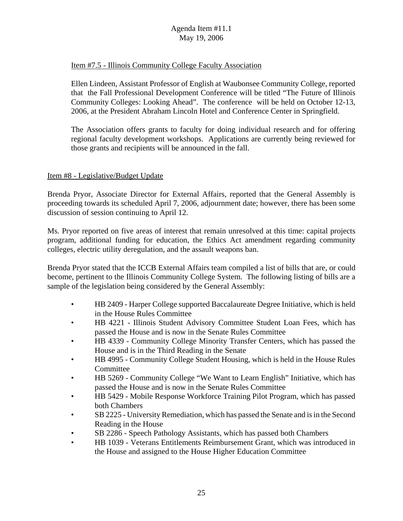#### Item #7.5 - Illinois Community College Faculty Association

Ellen Lindeen, Assistant Professor of English at Waubonsee Community College, reported that the Fall Professional Development Conference will be titled "The Future of Illinois Community Colleges: Looking Ahead". The conference will be held on October 12-13, 2006, at the President Abraham Lincoln Hotel and Conference Center in Springfield.

The Association offers grants to faculty for doing individual research and for offering regional faculty development workshops. Applications are currently being reviewed for those grants and recipients will be announced in the fall.

#### Item #8 - Legislative/Budget Update

Brenda Pryor, Associate Director for External Affairs, reported that the General Assembly is proceeding towards its scheduled April 7, 2006, adjournment date; however, there has been some discussion of session continuing to April 12.

Ms. Pryor reported on five areas of interest that remain unresolved at this time: capital projects program, additional funding for education, the Ethics Act amendment regarding community colleges, electric utility deregulation, and the assault weapons ban.

Brenda Pryor stated that the ICCB External Affairs team compiled a list of bills that are, or could become, pertinent to the Illinois Community College System. The following listing of bills are a sample of the legislation being considered by the General Assembly:

- HB 2409 Harper College supported Baccalaureate Degree Initiative, which is held in the House Rules Committee
- HB 4221 Illinois Student Advisory Committee Student Loan Fees, which has passed the House and is now in the Senate Rules Committee
- HB 4339 Community College Minority Transfer Centers, which has passed the House and is in the Third Reading in the Senate
- HB 4995 Community College Student Housing, which is held in the House Rules Committee
- HB 5269 Community College "We Want to Learn English" Initiative, which has passed the House and is now in the Senate Rules Committee
- HB 5429 Mobile Response Workforce Training Pilot Program, which has passed both Chambers
- SB 2225 University Remediation, which has passed the Senate and is in the Second Reading in the House
- SB 2286 Speech Pathology Assistants, which has passed both Chambers
- HB 1039 Veterans Entitlements Reimbursement Grant, which was introduced in the House and assigned to the House Higher Education Committee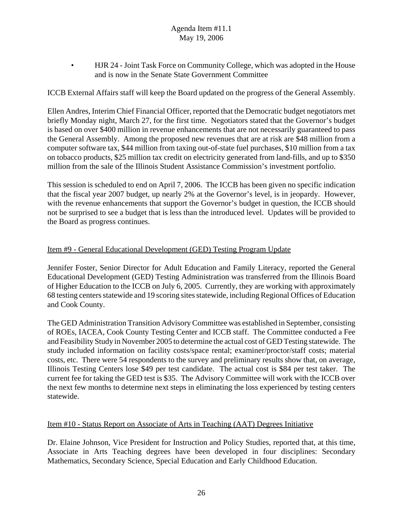• HJR 24 - Joint Task Force on Community College, which was adopted in the House and is now in the Senate State Government Committee

ICCB External Affairs staff will keep the Board updated on the progress of the General Assembly.

Ellen Andres, Interim Chief Financial Officer, reported that the Democratic budget negotiators met briefly Monday night, March 27, for the first time. Negotiators stated that the Governor's budget is based on over \$400 million in revenue enhancements that are not necessarily guaranteed to pass the General Assembly. Among the proposed new revenues that are at risk are \$48 million from a computer software tax, \$44 million from taxing out-of-state fuel purchases, \$10 million from a tax on tobacco products, \$25 million tax credit on electricity generated from land-fills, and up to \$350 million from the sale of the Illinois Student Assistance Commission's investment portfolio.

This session is scheduled to end on April 7, 2006. The ICCB has been given no specific indication that the fiscal year 2007 budget, up nearly 2% at the Governor's level, is in jeopardy. However, with the revenue enhancements that support the Governor's budget in question, the ICCB should not be surprised to see a budget that is less than the introduced level. Updates will be provided to the Board as progress continues.

#### Item #9 - General Educational Development (GED) Testing Program Update

Jennifer Foster, Senior Director for Adult Education and Family Literacy, reported the General Educational Development (GED) Testing Administration was transferred from the Illinois Board of Higher Education to the ICCB on July 6, 2005. Currently, they are working with approximately 68 testing centers statewide and 19 scoring sites statewide, including Regional Offices of Education and Cook County.

The GED Administration Transition Advisory Committee was established in September, consisting of ROEs, IACEA, Cook County Testing Center and ICCB staff. The Committee conducted a Fee and Feasibility Study in November 2005 to determine the actual cost of GED Testing statewide. The study included information on facility costs/space rental; examiner/proctor/staff costs; material costs, etc. There were 54 respondents to the survey and preliminary results show that, on average, Illinois Testing Centers lose \$49 per test candidate. The actual cost is \$84 per test taker. The current fee for taking the GED test is \$35. The Advisory Committee will work with the ICCB over the next few months to determine next steps in eliminating the loss experienced by testing centers statewide.

#### Item #10 - Status Report on Associate of Arts in Teaching (AAT) Degrees Initiative

Dr. Elaine Johnson, Vice President for Instruction and Policy Studies, reported that, at this time, Associate in Arts Teaching degrees have been developed in four disciplines: Secondary Mathematics, Secondary Science, Special Education and Early Childhood Education.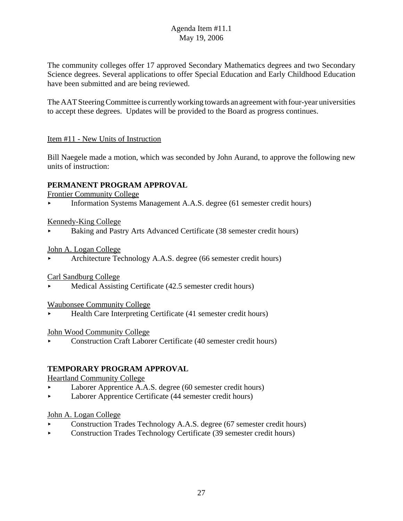The community colleges offer 17 approved Secondary Mathematics degrees and two Secondary Science degrees. Several applications to offer Special Education and Early Childhood Education have been submitted and are being reviewed.

The AAT Steering Committee is currently working towards an agreement with four-year universities to accept these degrees. Updates will be provided to the Board as progress continues.

# Item #11 - New Units of Instruction

Bill Naegele made a motion, which was seconded by John Aurand, to approve the following new units of instruction:

# **PERMANENT PROGRAM APPROVAL**

Frontier Community College

< Information Systems Management A.A.S. degree (61 semester credit hours)

#### Kennedy-King College

< Baking and Pastry Arts Advanced Certificate (38 semester credit hours)

# John A. Logan College

< Architecture Technology A.A.S. degree (66 semester credit hours)

# Carl Sandburg College

< Medical Assisting Certificate (42.5 semester credit hours)

# Waubonsee Community College

< Health Care Interpreting Certificate (41 semester credit hours)

#### John Wood Community College

< Construction Craft Laborer Certificate (40 semester credit hours)

# **TEMPORARY PROGRAM APPROVAL**

#### Heartland Community College

- < Laborer Apprentice A.A.S. degree (60 semester credit hours)
- < Laborer Apprentice Certificate (44 semester credit hours)

# John A. Logan College

- < Construction Trades Technology A.A.S. degree (67 semester credit hours)
- Construction Trades Technology Certificate (39 semester credit hours)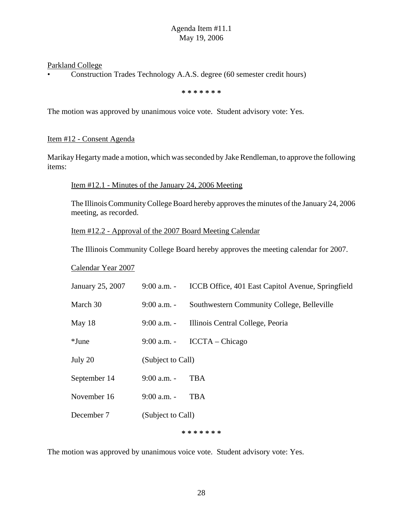Parkland College

• Construction Trades Technology A.A.S. degree (60 semester credit hours)

**\* \* \* \* \* \* \***

The motion was approved by unanimous voice vote. Student advisory vote: Yes.

#### Item #12 - Consent Agenda

Marikay Hegarty made a motion, which was seconded by Jake Rendleman, to approve the following items:

Item #12.1 - Minutes of the January 24, 2006 Meeting

The Illinois Community College Board hereby approves the minutes of the January 24, 2006 meeting, as recorded.

Item #12.2 - Approval of the 2007 Board Meeting Calendar

The Illinois Community College Board hereby approves the meeting calendar for 2007.

Calendar Year 2007

| January 25, 2007 | 9:00 a.m. -       | ICCB Office, 401 East Capitol Avenue, Springfield |  |
|------------------|-------------------|---------------------------------------------------|--|
| March 30         | $9:00$ a.m. -     | Southwestern Community College, Belleville        |  |
| May 18           | $9:00$ a.m. -     | Illinois Central College, Peoria                  |  |
| $*$ June         | $9:00$ a.m. -     | $ICCTA - Chicago$                                 |  |
| July 20          | (Subject to Call) |                                                   |  |
| September 14     | $9:00$ a.m. -     | <b>TBA</b>                                        |  |
| November 16      | $9:00$ a.m. -     | <b>TBA</b>                                        |  |
| December 7       | (Subject to Call) |                                                   |  |
|                  |                   | * * * * * * *                                     |  |

The motion was approved by unanimous voice vote. Student advisory vote: Yes.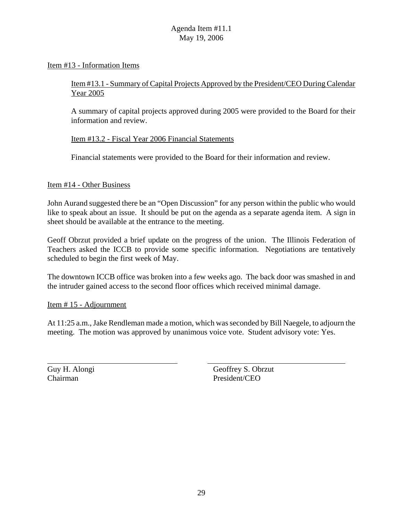#### Item #13 - Information Items

# Item #13.1 - Summary of Capital Projects Approved by the President/CEO During Calendar Year 2005

A summary of capital projects approved during 2005 were provided to the Board for their information and review.

#### Item #13.2 - Fiscal Year 2006 Financial Statements

Financial statements were provided to the Board for their information and review.

#### Item #14 - Other Business

John Aurand suggested there be an "Open Discussion" for any person within the public who would like to speak about an issue. It should be put on the agenda as a separate agenda item. A sign in sheet should be available at the entrance to the meeting.

Geoff Obrzut provided a brief update on the progress of the union. The Illinois Federation of Teachers asked the ICCB to provide some specific information. Negotiations are tentatively scheduled to begin the first week of May.

The downtown ICCB office was broken into a few weeks ago. The back door was smashed in and the intruder gained access to the second floor offices which received minimal damage.

#### Item # 15 - Adjournment

At 11:25 a.m., Jake Rendleman made a motion, which was seconded by Bill Naegele, to adjourn the meeting. The motion was approved by unanimous voice vote. Student advisory vote: Yes.

Guy H. Alongi Geoffrey S. Obrzut Chairman President/CEO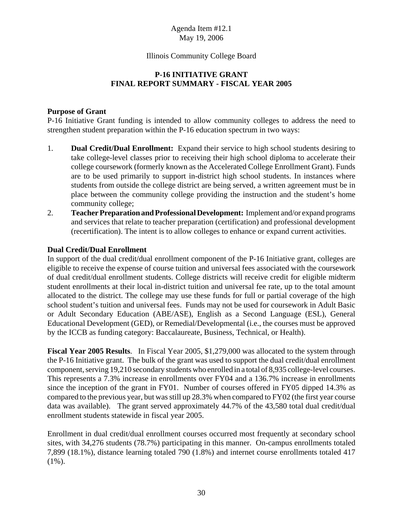#### Illinois Community College Board

#### **P-16 INITIATIVE GRANT FINAL REPORT SUMMARY - FISCAL YEAR 2005**

#### **Purpose of Grant**

P-16 Initiative Grant funding is intended to allow community colleges to address the need to strengthen student preparation within the P-16 education spectrum in two ways:

- 1. **Dual Credit/Dual Enrollment:** Expand their service to high school students desiring to take college-level classes prior to receiving their high school diploma to accelerate their college coursework (formerly known as the Accelerated College Enrollment Grant). Funds are to be used primarily to support in-district high school students. In instances where students from outside the college district are being served, a written agreement must be in place between the community college providing the instruction and the student's home community college;
- 2. **Teacher Preparation and Professional Development:** Implement and/or expand programs and services that relate to teacher preparation (certification) and professional development (recertification). The intent is to allow colleges to enhance or expand current activities.

#### **Dual Credit/Dual Enrollment**

In support of the dual credit/dual enrollment component of the P-16 Initiative grant, colleges are eligible to receive the expense of course tuition and universal fees associated with the coursework of dual credit/dual enrollment students. College districts will receive credit for eligible midterm student enrollments at their local in-district tuition and universal fee rate, up to the total amount allocated to the district. The college may use these funds for full or partial coverage of the high school student's tuition and universal fees. Funds may not be used for coursework in Adult Basic or Adult Secondary Education (ABE/ASE), English as a Second Language (ESL), General Educational Development (GED), or Remedial/Developmental (i.e., the courses must be approved by the ICCB as funding category: Baccalaureate, Business, Technical, or Health).

**Fiscal Year 2005 Results**. In Fiscal Year 2005, \$1,279,000 was allocated to the system through the P-16 Initiative grant. The bulk of the grant was used to support the dual credit/dual enrollment component, serving 19,210 secondary students who enrolled in a total of 8,935 college-level courses. This represents a 7.3% increase in enrollments over FY04 and a 136.7% increase in enrollments since the inception of the grant in FY01. Number of courses offered in FY05 dipped 14.3% as compared to the previous year, but was still up 28.3% when compared to FY02 (the first year course data was available). The grant served approximately 44.7% of the 43,580 total dual credit/dual enrollment students statewide in fiscal year 2005.

Enrollment in dual credit/dual enrollment courses occurred most frequently at secondary school sites, with 34,276 students (78.7%) participating in this manner. On-campus enrollments totaled 7,899 (18.1%), distance learning totaled 790 (1.8%) and internet course enrollments totaled 417  $(1\%)$ .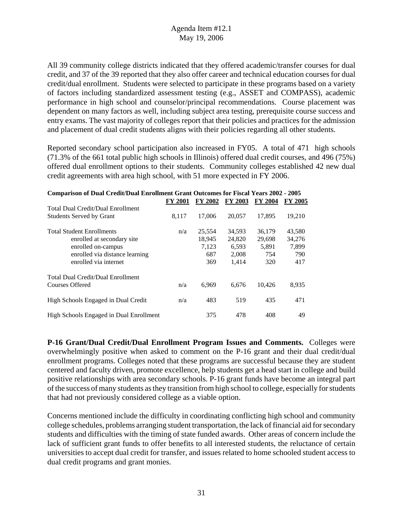All 39 community college districts indicated that they offered academic/transfer courses for dual credit, and 37 of the 39 reported that they also offer career and technical education courses for dual credit/dual enrollment. Students were selected to participate in these programs based on a variety of factors including standardized assessment testing (e.g., ASSET and COMPASS), academic performance in high school and counselor/principal recommendations. Course placement was dependent on many factors as well, including subject area testing, prerequisite course success and entry exams. The vast majority of colleges report that their policies and practices for the admission and placement of dual credit students aligns with their policies regarding all other students.

Reported secondary school participation also increased in FY05. A total of 471 high schools (71.3% of the 661 total public high schools in Illinois) offered dual credit courses, and 496 (75%) offered dual enrollment options to their students. Community colleges established 42 new dual credit agreements with area high school, with 51 more expected in FY 2006.

| <b>Comparison of Dual Credit/Dual Enrollment Grant Outcomes for Fiscal Years 2002 - 2005</b>                                                    |                |                                         |                                             |                                         |                                         |  |  |
|-------------------------------------------------------------------------------------------------------------------------------------------------|----------------|-----------------------------------------|---------------------------------------------|-----------------------------------------|-----------------------------------------|--|--|
|                                                                                                                                                 | <b>FY 2001</b> | <b>FY 2002</b>                          | <b>FY 2003</b>                              | <b>FY 2004</b>                          | <b>FY 2005</b>                          |  |  |
| <b>Total Dual Credit/Dual Enrollment</b><br><b>Students Served by Grant</b>                                                                     | 8,117          | 17,006                                  | 20.057                                      | 17.895                                  | 19,210                                  |  |  |
| <b>Total Student Enrollments</b><br>enrolled at secondary site<br>enrolled on-campus<br>enrolled via distance learning<br>enrolled via internet | n/a            | 25,554<br>18,945<br>7,123<br>687<br>369 | 34,593<br>24,820<br>6,593<br>2,008<br>1,414 | 36,179<br>29,698<br>5,891<br>754<br>320 | 43,580<br>34,276<br>7,899<br>790<br>417 |  |  |
| <b>Total Dual Credit/Dual Enrollment</b><br>Courses Offered                                                                                     | n/a            | 6.969                                   | 6.676                                       | 10.426                                  | 8,935                                   |  |  |
| High Schools Engaged in Dual Credit                                                                                                             | n/a            | 483                                     | 519                                         | 435                                     | 471                                     |  |  |
| High Schools Engaged in Dual Enrollment                                                                                                         |                | 375                                     | 478                                         | 408                                     | 49                                      |  |  |

**P-16 Grant/Dual Credit/Dual Enrollment Program Issues and Comments.** Colleges were overwhelmingly positive when asked to comment on the P-16 grant and their dual credit/dual enrollment programs. Colleges noted that these programs are successful because they are student centered and faculty driven, promote excellence, help students get a head start in college and build positive relationships with area secondary schools. P-16 grant funds have become an integral part of the success of many students as they transition from high school to college, especially for students that had not previously considered college as a viable option.

Concerns mentioned include the difficulty in coordinating conflicting high school and community college schedules, problems arranging student transportation, the lack of financial aid for secondary students and difficulties with the timing of state funded awards. Other areas of concern include the lack of sufficient grant funds to offer benefits to all interested students, the reluctance of certain universities to accept dual credit for transfer, and issues related to home schooled student access to dual credit programs and grant monies.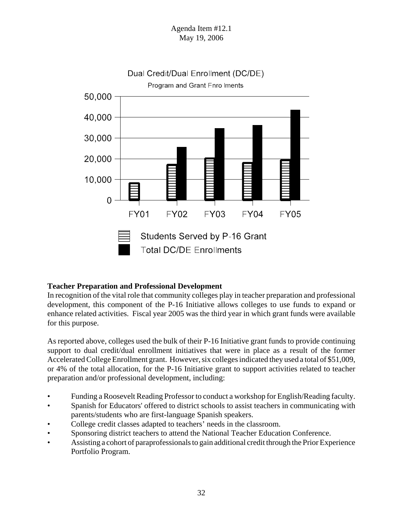

# Dual Credit/Dual Enrollment (DC/DE)

#### **Teacher Preparation and Professional Development**

In recognition of the vital role that community colleges play in teacher preparation and professional development, this component of the P-16 Initiative allows colleges to use funds to expand or enhance related activities. Fiscal year 2005 was the third year in which grant funds were available for this purpose.

As reported above, colleges used the bulk of their P-16 Initiative grant funds to provide continuing support to dual credit/dual enrollment initiatives that were in place as a result of the former Accelerated College Enrollment grant. However, six colleges indicated they used a total of \$51,009, or 4% of the total allocation, for the P-16 Initiative grant to support activities related to teacher preparation and/or professional development, including:

- Funding a Roosevelt Reading Professor to conduct a workshop for English/Reading faculty.
- Spanish for Educators' offered to district schools to assist teachers in communicating with parents/students who are first-language Spanish speakers.
- College credit classes adapted to teachers' needs in the classroom.
- Sponsoring district teachers to attend the National Teacher Education Conference.
- Assisting a cohort of paraprofessionals to gain additional credit through the Prior Experience Portfolio Program.